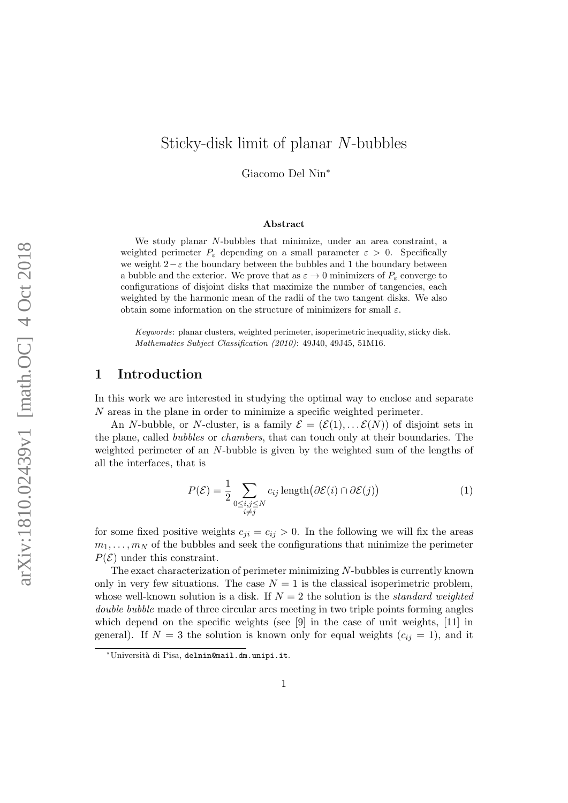# Sticky-disk limit of planar N-bubbles

Giacomo Del Nin<sup>∗</sup>

#### Abstract

We study planar N-bubbles that minimize, under an area constraint, a weighted perimeter  $P_{\varepsilon}$  depending on a small parameter  $\varepsilon > 0$ . Specifically we weight  $2-\varepsilon$  the boundary between the bubbles and 1 the boundary between a bubble and the exterior. We prove that as  $\varepsilon \to 0$  minimizers of  $P_{\varepsilon}$  converge to configurations of disjoint disks that maximize the number of tangencies, each weighted by the harmonic mean of the radii of the two tangent disks. We also obtain some information on the structure of minimizers for small  $\varepsilon$ .

Keywords: planar clusters, weighted perimeter, isoperimetric inequality, sticky disk. Mathematics Subject Classification (2010): 49J40, 49J45, 51M16.

## 1 Introduction

In this work we are interested in studying the optimal way to enclose and separate N areas in the plane in order to minimize a specific weighted perimeter.

An N-bubble, or N-cluster, is a family  $\mathcal{E} = (\mathcal{E}(1), \dots, \mathcal{E}(N))$  of disjoint sets in the plane, called bubbles or chambers, that can touch only at their boundaries. The weighted perimeter of an N-bubble is given by the weighted sum of the lengths of all the interfaces, that is

<span id="page-0-0"></span>
$$
P(\mathcal{E}) = \frac{1}{2} \sum_{\substack{0 \le i,j \le N \\ i \ne j}} c_{ij} \operatorname{length}(\partial \mathcal{E}(i) \cap \partial \mathcal{E}(j))
$$
 (1)

for some fixed positive weights  $c_{ji} = c_{ij} > 0$ . In the following we will fix the areas  $m_1, \ldots, m_N$  of the bubbles and seek the configurations that minimize the perimeter  $P(\mathcal{E})$  under this constraint.

The exact characterization of perimeter minimizing N-bubbles is currently known only in very few situations. The case  $N = 1$  is the classical isoperimetric problem, whose well-known solution is a disk. If  $N = 2$  the solution is the *standard weighted* double bubble made of three circular arcs meeting in two triple points forming angles which depend on the specific weights (see [\[9\]](#page-25-0) in the case of unit weights, [\[11\]](#page-25-1) in general). If  $N = 3$  the solution is known only for equal weights  $(c_{ij} = 1)$ , and it

<sup>∗</sup>Universit`a di Pisa, <delnin@mail.dm.unipi.it>.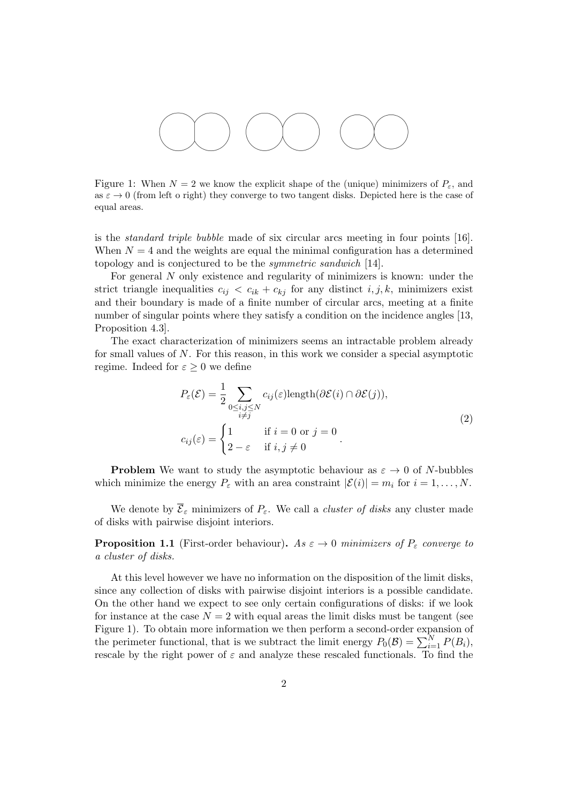

Figure 1: When  $N = 2$  we know the explicit shape of the (unique) minimizers of  $P_{\varepsilon}$ , and as  $\varepsilon \to 0$  (from left o right) they converge to two tangent disks. Depicted here is the case of equal areas.

is the standard triple bubble made of six circular arcs meeting in four points [\[16\]](#page-25-2). When  $N = 4$  and the weights are equal the minimal configuration has a determined topology and is conjectured to be the symmetric sandwich [\[14\]](#page-25-3).

For general N only existence and regularity of minimizers is known: under the strict triangle inequalities  $c_{ij} < c_{ik} + c_{kj}$  for any distinct  $i, j, k$ , minimizers exist and their boundary is made of a finite number of circular arcs, meeting at a finite number of singular points where they satisfy a condition on the incidence angles [\[13,](#page-25-4) Proposition 4.3].

The exact characterization of minimizers seems an intractable problem already for small values of N. For this reason, in this work we consider a special asymptotic regime. Indeed for  $\varepsilon \geq 0$  we define

<span id="page-1-1"></span>
$$
P_{\varepsilon}(\mathcal{E}) = \frac{1}{2} \sum_{\substack{0 \le i,j \le N \\ i \ne j}} c_{ij}(\varepsilon) \text{length}(\partial \mathcal{E}(i) \cap \partial \mathcal{E}(j)),
$$
  

$$
c_{ij}(\varepsilon) = \begin{cases} 1 & \text{if } i = 0 \text{ or } j = 0 \\ 2 - \varepsilon & \text{if } i, j \ne 0 \end{cases}
$$
 (2)

**Problem** We want to study the asymptotic behaviour as  $\varepsilon \to 0$  of N-bubbles which minimize the energy  $P_{\varepsilon}$  with an area constraint  $|\mathcal{E}(i)| = m_i$  for  $i = 1, ..., N$ .

We denote by  $\overline{\mathcal{E}}_{\varepsilon}$  minimizers of  $P_{\varepsilon}$ . We call a *cluster of disks* any cluster made of disks with pairwise disjoint interiors.

<span id="page-1-0"></span>**Proposition 1.1** (First-order behaviour). As  $\varepsilon \to 0$  minimizers of  $P_{\varepsilon}$  converge to a cluster of disks.

At this level however we have no information on the disposition of the limit disks, since any collection of disks with pairwise disjoint interiors is a possible candidate. On the other hand we expect to see only certain configurations of disks: if we look for instance at the case  $N = 2$  with equal areas the limit disks must be tangent (see Figure [1\)](#page-1-0). To obtain more information we then perform a second-order expansion of the perimeter functional, that is we subtract the limit energy  $P_0(\mathcal{B}) = \sum_{i=1}^{N} P(B_i)$ , rescale by the right power of  $\varepsilon$  and analyze these rescaled functionals. To find the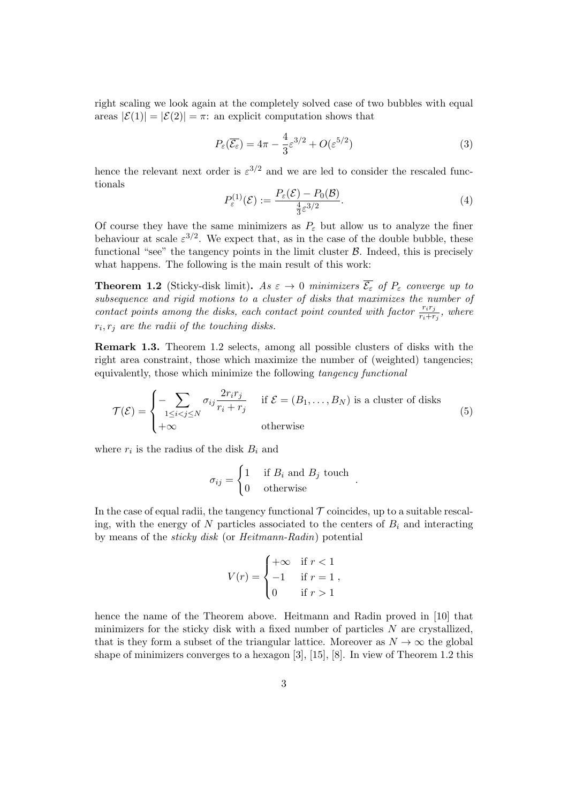right scaling we look again at the completely solved case of two bubbles with equal areas  $|\mathcal{E}(1)| = |\mathcal{E}(2)| = \pi$ : an explicit computation shows that

<span id="page-2-3"></span>
$$
P_{\varepsilon}(\overline{\mathcal{E}_{\varepsilon}}) = 4\pi - \frac{4}{3}\varepsilon^{3/2} + O(\varepsilon^{5/2})
$$
\n(3)

hence the relevant next order is  $\varepsilon^{3/2}$  and we are led to consider the rescaled functionals

<span id="page-2-1"></span>
$$
P_{\varepsilon}^{(1)}(\mathcal{E}) := \frac{P_{\varepsilon}(\mathcal{E}) - P_0(\mathcal{B})}{\frac{4}{3}\varepsilon^{3/2}}.
$$
\n(4)

.

Of course they have the same minimizers as  $P_{\varepsilon}$  but allow us to analyze the finer behaviour at scale  $\varepsilon^{3/2}$ . We expect that, as in the case of the double bubble, these functional "see" the tangency points in the limit cluster  $\beta$ . Indeed, this is precisely what happens. The following is the main result of this work:

<span id="page-2-0"></span>**Theorem 1.2** (Sticky-disk limit). As  $\varepsilon \to 0$  minimizers  $\overline{\mathcal{E}_{\varepsilon}}$  of  $P_{\varepsilon}$  converge up to subsequence and rigid motions to a cluster of disks that maximizes the number of contact points among the disks, each contact point counted with factor  $\frac{r_i r_j}{r_i + r_j}$ , where  $r_i, r_j$  are the radii of the touching disks.

Remark 1.3. Theorem [1.2](#page-2-0) selects, among all possible clusters of disks with the right area constraint, those which maximize the number of (weighted) tangencies; equivalently, those which minimize the following tangency functional

<span id="page-2-2"></span>
$$
\mathcal{T}(\mathcal{E}) = \begin{cases}\n-\sum_{1 \le i < j \le N} \sigma_{ij} \frac{2r_i r_j}{r_i + r_j} & \text{if } \mathcal{E} = (B_1, \dots, B_N) \text{ is a cluster of disks} \\
+\infty & \text{otherwise}\n\end{cases}\n\tag{5}
$$

where  $r_i$  is the radius of the disk  $B_i$  and

$$
\sigma_{ij} = \begin{cases} 1 & \text{if } B_i \text{ and } B_j \text{ touch} \\ 0 & \text{otherwise} \end{cases}
$$

In the case of equal radii, the tangency functional  $\mathcal T$  coincides, up to a suitable rescaling, with the energy of N particles associated to the centers of  $B_i$  and interacting by means of the sticky disk (or Heitmann-Radin) potential

$$
V(r) = \begin{cases} +\infty & \text{if } r < 1 \\ -1 & \text{if } r = 1 \\ 0 & \text{if } r > 1 \end{cases}
$$

hence the name of the Theorem above. Heitmann and Radin proved in [\[10\]](#page-25-5) that minimizers for the sticky disk with a fixed number of particles N are crystallized, that is they form a subset of the triangular lattice. Moreover as  $N \to \infty$  the global shape of minimizers converges to a hexagon [\[3\]](#page-24-0), [\[15\]](#page-25-6), [\[8\]](#page-25-7). In view of Theorem [1.2](#page-2-0) this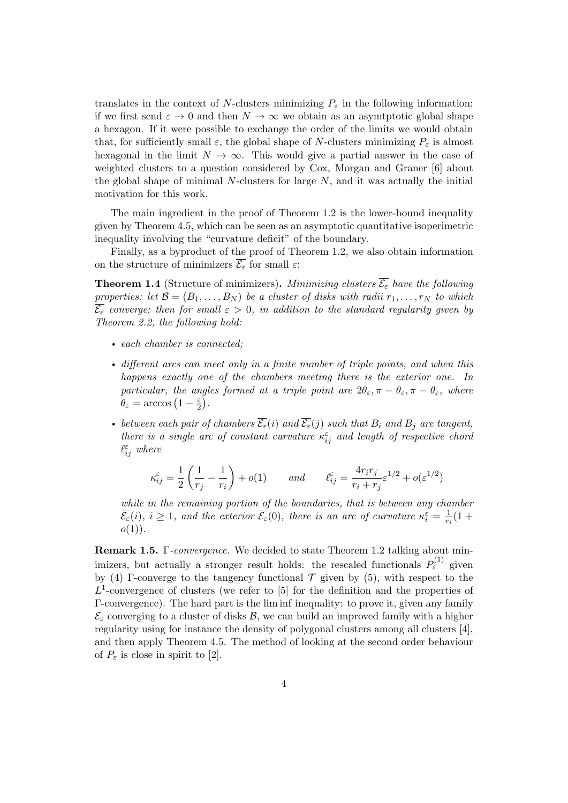translates in the context of N-clusters minimizing  $P_{\varepsilon}$  in the following information: if we first send  $\varepsilon \to 0$  and then  $N \to \infty$  we obtain as an asymptotic global shape a hexagon. If it were possible to exchange the order of the limits we would obtain that, for sufficiently small  $\varepsilon$ , the global shape of N-clusters minimizing  $P_{\varepsilon}$  is almost hexagonal in the limit  $N \to \infty$ . This would give a partial answer in the case of weighted clusters to a question considered by Cox, Morgan and Graner [\[6\]](#page-24-1) about the global shape of minimal  $N$ -clusters for large  $N$ , and it was actually the initial motivation for this work.

The main ingredient in the proof of Theorem [1.2](#page-2-0) is the lower-bound inequality given by Theorem [4.5,](#page-13-0) which can be seen as an asymptotic quantitative isoperimetric inequality involving the "curvature deficit" of the boundary.

Finally, as a byproduct of the proof of Theorem [1.2,](#page-2-0) we also obtain information on the structure of minimizers  $\overline{\mathcal{E}_{\varepsilon}}$  for small  $\varepsilon$ :

<span id="page-3-0"></span>**Theorem 1.4** (Structure of minimizers). Minimizing clusters  $\overline{\mathcal{E}_{\varepsilon}}$  have the following properties: let  $\mathcal{B} = (B_1, \ldots, B_N)$  be a cluster of disks with radii  $r_1, \ldots, r_N$  to which  $\overline{\mathcal{E}_{\varepsilon}}$  converge; then for small  $\varepsilon > 0$ , in addition to the standard regularity given by Theorem [2.2,](#page-5-0) the following hold:

- each chamber is connected;
- different arcs can meet only in a finite number of triple points, and when this happens exactly one of the chambers meeting there is the exterior one. In particular, the angles formed at a triple point are  $2\theta_{\varepsilon}, \pi - \theta_{\varepsilon}, \pi - \theta_{\varepsilon}$ , where  $\theta_{\varepsilon} = \arccos\left(1 - \frac{\varepsilon}{2}\right)$  $\frac{\varepsilon}{2}$ .
- between each pair of chambers  $\overline{\mathcal{E}_{\varepsilon}}(i)$  and  $\overline{\mathcal{E}_{\varepsilon}}(j)$  such that  $B_i$  and  $B_j$  are tangent, there is a single arc of constant curvature  $\kappa_{ij}^{\varepsilon}$  and length of respective chord  $\ell_{ij}^{\varepsilon}$  where

$$
\kappa_{ij}^\varepsilon=\frac{1}{2}\left(\frac{1}{r_j}-\frac{1}{r_i}\right)+o(1)\qquad and\qquad \ell_{ij}^\varepsilon=\frac{4r_ir_j}{r_i+r_j}\varepsilon^{1/2}+o(\varepsilon^{1/2})
$$

while in the remaining portion of the boundaries, that is between any chamber  $\overline{\mathcal{E}_{\varepsilon}}(i), i \geq 1$ , and the exterior  $\overline{\mathcal{E}_{\varepsilon}}(0)$ , there is an arc of curvature  $\kappa_i^{\varepsilon} = \frac{1}{r_c}$  $\frac{1}{r_i}(1 +$  $o(1)$ .

Remark 1.5. Γ-convergence. We decided to state Theorem [1.2](#page-2-0) talking about minimizers, but actually a stronger result holds: the rescaled functionals  $P_{\varepsilon}^{(1)}$  given by [\(4\)](#page-2-1) Γ-converge to the tangency functional  $\mathcal T$  given by [\(5\)](#page-2-2), with respect to the  $L^1$ -convergence of clusters (we refer to [\[5\]](#page-24-2) for the definition and the properties of Γ-convergence). The hard part is the lim inf inequality: to prove it, given any family  $\mathcal{E}_{\varepsilon}$  converging to a cluster of disks  $\mathcal{B}$ , we can build an improved family with a higher regularity using for instance the density of polygonal clusters among all clusters [\[4\]](#page-24-3), and then apply Theorem [4.5.](#page-13-0) The method of looking at the second order behaviour of  $P_{\varepsilon}$  is close in spirit to [\[2\]](#page-24-4).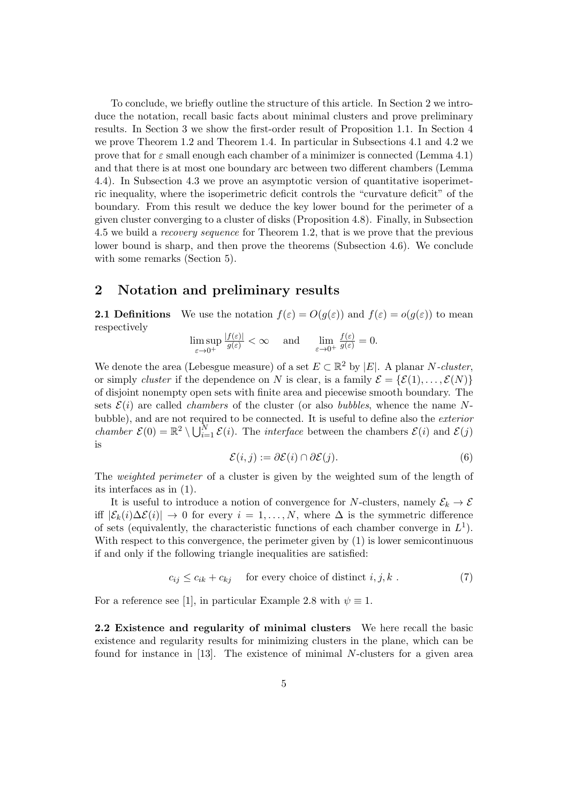To conclude, we briefly outline the structure of this article. In Section [2](#page-4-0) we introduce the notation, recall basic facts about minimal clusters and prove preliminary results. In Section [3](#page-8-0) we show the first-order result of Proposition [1.1.](#page-1-0) In Section [4](#page-9-0) we prove Theorem [1.2](#page-2-0) and Theorem [1.4.](#page-3-0) In particular in Subsections [4.1](#page-9-1) and [4.2](#page-11-0) we prove that for  $\varepsilon$  small enough each chamber of a minimizer is connected (Lemma [4.1\)](#page-9-2) and that there is at most one boundary arc between two different chambers (Lemma [4.4\)](#page-12-0). In Subsection [4.3](#page-13-1) we prove an asymptotic version of quantitative isoperimetric inequality, where the isoperimetric deficit controls the "curvature deficit" of the boundary. From this result we deduce the key lower bound for the perimeter of a given cluster converging to a cluster of disks (Proposition [4.8\)](#page-15-0). Finally, in Subsection [4.5](#page-18-0) we build a recovery sequence for Theorem [1.2,](#page-2-0) that is we prove that the previous lower bound is sharp, and then prove the theorems (Subsection [4.6\)](#page-22-0). We conclude with some remarks (Section [5\)](#page-23-0).

## <span id="page-4-0"></span>2 Notation and preliminary results

**2.1 Definitions** We use the notation  $f(\varepsilon) = O(g(\varepsilon))$  and  $f(\varepsilon) = o(g(\varepsilon))$  to mean respectively

lim sup  $\varepsilon \rightarrow 0^+$  $\frac{|f(\varepsilon)|}{g(\varepsilon)} < \infty$  and  $\lim_{\varepsilon \to 0^+}$  $\frac{f(\varepsilon)}{g(\varepsilon)}=0.$ 

We denote the area (Lebesgue measure) of a set  $E \subset \mathbb{R}^2$  by  $|E|$ . A planar N-cluster, or simply cluster if the dependence on N is clear, is a family  $\mathcal{E} = {\mathcal{E}(1), \ldots, \mathcal{E}(N)}$ of disjoint nonempty open sets with finite area and piecewise smooth boundary. The sets  $\mathcal{E}(i)$  are called *chambers* of the cluster (or also *bubbles*, whence the name Nbubble), and are not required to be connected. It is useful to define also the exterior chamber  $\mathcal{E}(0) = \mathbb{R}^2 \setminus \bigcup_{i=1}^N \mathcal{E}(i)$ . The *interface* between the chambers  $\mathcal{E}(i)$  and  $\mathcal{E}(j)$ is

<span id="page-4-1"></span>
$$
\mathcal{E}(i,j) := \partial \mathcal{E}(i) \cap \partial \mathcal{E}(j). \tag{6}
$$

The *weighted perimeter* of a cluster is given by the weighted sum of the length of its interfaces as in [\(1\)](#page-0-0).

It is useful to introduce a notion of convergence for N-clusters, namely  $\mathcal{E}_k \to \mathcal{E}$ iff  $|\mathcal{E}_k(i)\Delta\mathcal{E}(i)|$  → 0 for every  $i=1,\ldots,N$ , where  $\Delta$  is the symmetric difference of sets (equivalently, the characteristic functions of each chamber converge in  $L^1$ ). With respect to this convergence, the perimeter given by  $(1)$  is lower semicontinuous if and only if the following triangle inequalities are satisfied:

<span id="page-4-2"></span>
$$
c_{ij} \le c_{ik} + c_{kj} \quad \text{ for every choice of distinct } i, j, k . \tag{7}
$$

For a reference see [\[1\]](#page-24-5), in particular Example 2.8 with  $\psi \equiv 1$ .

2.2 Existence and regularity of minimal clusters We here recall the basic existence and regularity results for minimizing clusters in the plane, which can be found for instance in [\[13\]](#page-25-4). The existence of minimal N-clusters for a given area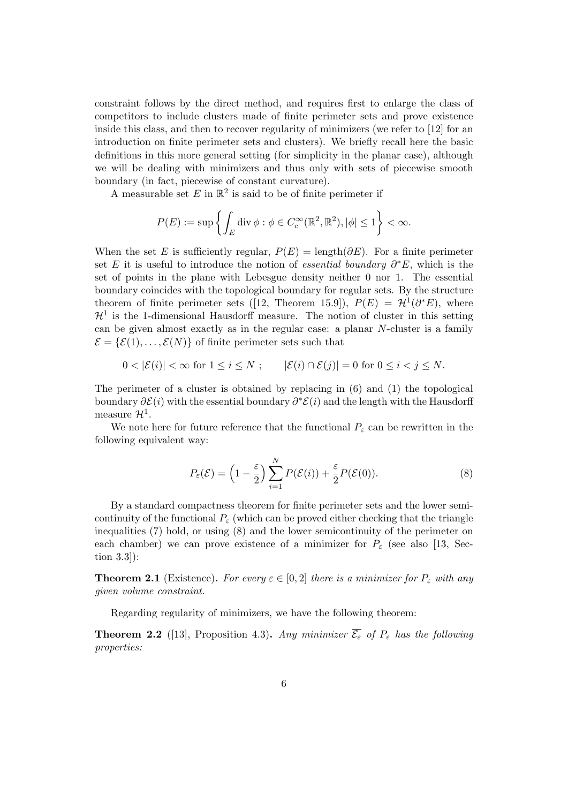constraint follows by the direct method, and requires first to enlarge the class of competitors to include clusters made of finite perimeter sets and prove existence inside this class, and then to recover regularity of minimizers (we refer to [\[12\]](#page-25-8) for an introduction on finite perimeter sets and clusters). We briefly recall here the basic definitions in this more general setting (for simplicity in the planar case), although we will be dealing with minimizers and thus only with sets of piecewise smooth boundary (in fact, piecewise of constant curvature).

A measurable set E in  $\mathbb{R}^2$  is said to be of finite perimeter if

$$
P(E) := \sup \left\{ \int_E \operatorname{div} \phi : \phi \in C_c^{\infty}(\mathbb{R}^2, \mathbb{R}^2), |\phi| \le 1 \right\} < \infty.
$$

When the set E is sufficiently regular,  $P(E) = \text{length}(\partial E)$ . For a finite perimeter set E it is useful to introduce the notion of *essential boundary*  $\partial^* E$ , which is the set of points in the plane with Lebesgue density neither 0 nor 1. The essential boundary coincides with the topological boundary for regular sets. By the structure theoremof finite perimeter sets ([\[12,](#page-25-8) Theorem 15.9]),  $P(E) = H^1(\partial^* E)$ , where  $\mathcal{H}^1$  is the 1-dimensional Hausdorff measure. The notion of cluster in this setting can be given almost exactly as in the regular case: a planar N-cluster is a family  $\mathcal{E} = {\mathcal{E}(1), \ldots, \mathcal{E}(N)}$  of finite perimeter sets such that

$$
0 < |\mathcal{E}(i)| < \infty \text{ for } 1 \le i \le N ; \qquad |\mathcal{E}(i) \cap \mathcal{E}(j)| = 0 \text{ for } 0 \le i < j \le N.
$$

The perimeter of a cluster is obtained by replacing in [\(6\)](#page-4-1) and [\(1\)](#page-0-0) the topological boundary  $\partial \mathcal{E}(i)$  with the essential boundary  $\partial^* \mathcal{E}(i)$  and the length with the Hausdorff measure  $\mathcal{H}^1$ .

We note here for future reference that the functional  $P_{\varepsilon}$  can be rewritten in the following equivalent way:

<span id="page-5-1"></span>
$$
P_{\varepsilon}(\mathcal{E}) = \left(1 - \frac{\varepsilon}{2}\right) \sum_{i=1}^{N} P(\mathcal{E}(i)) + \frac{\varepsilon}{2} P(\mathcal{E}(0)).
$$
\n(8)

By a standard compactness theorem for finite perimeter sets and the lower semicontinuity of the functional  $P_{\varepsilon}$  (which can be proved either checking that the triangle inequalities [\(7\)](#page-4-2) hold, or using [\(8\)](#page-5-1) and the lower semicontinuity of the perimeter on each chamber) we can prove existence of a minimizer for  $P_{\varepsilon}$  (see also [\[13,](#page-25-4) Section 3.3]):

**Theorem 2.1** (Existence). For every  $\varepsilon \in [0,2]$  there is a minimizer for  $P_{\varepsilon}$  with any given volume constraint.

Regarding regularity of minimizers, we have the following theorem:

<span id="page-5-0"></span>**Theorem 2.2** ([\[13\]](#page-25-4), Proposition 4.3). Any minimizer  $\overline{\mathcal{E}_{\varepsilon}}$  of  $P_{\varepsilon}$  has the following properties: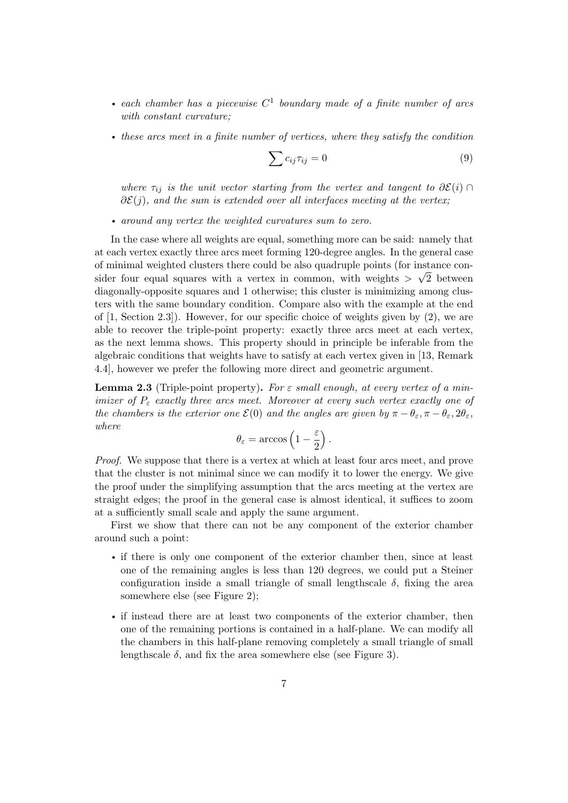- each chamber has a piecewise  $C^1$  boundary made of a finite number of arcs with constant curvature;
- these arcs meet in a finite number of vertices, where they satisfy the condition

<span id="page-6-0"></span>
$$
\sum c_{ij}\tau_{ij} = 0\tag{9}
$$

where  $\tau_{ij}$  is the unit vector starting from the vertex and tangent to  $\partial \mathcal{E}(i) \cap$  $\partial \mathcal{E}(j)$ , and the sum is extended over all interfaces meeting at the vertex;

• around any vertex the weighted curvatures sum to zero.

In the case where all weights are equal, something more can be said: namely that at each vertex exactly three arcs meet forming 120-degree angles. In the general case of minimal weighted clusters there could be also quadruple points (for instance consider four equal squares with a vertex in common, with weights  $> \sqrt{2}$  between diagonally-opposite squares and 1 otherwise; this cluster is minimizing among clusters with the same boundary condition. Compare also with the example at the end of  $[1, Section 2.3]$ . However, for our specific choice of weights given by  $(2)$ , we are able to recover the triple-point property: exactly three arcs meet at each vertex, as the next lemma shows. This property should in principle be inferable from the algebraic conditions that weights have to satisfy at each vertex given in [\[13,](#page-25-4) Remark 4.4], however we prefer the following more direct and geometric argument.

<span id="page-6-1"></span>**Lemma 2.3** (Triple-point property). For  $\varepsilon$  small enough, at every vertex of a minimizer of  $P_{\varepsilon}$  exactly three arcs meet. Moreover at every such vertex exactly one of the chambers is the exterior one  $\mathcal{E}(0)$  and the angles are given by  $\pi - \theta_{\varepsilon}, \pi - \theta_{\varepsilon}, 2\theta_{\varepsilon}$ , where

$$
\theta_{\varepsilon} = \arccos\left(1 - \frac{\varepsilon}{2}\right).
$$

Proof. We suppose that there is a vertex at which at least four arcs meet, and prove that the cluster is not minimal since we can modify it to lower the energy. We give the proof under the simplifying assumption that the arcs meeting at the vertex are straight edges; the proof in the general case is almost identical, it suffices to zoom at a sufficiently small scale and apply the same argument.

First we show that there can not be any component of the exterior chamber around such a point:

- if there is only one component of the exterior chamber then, since at least one of the remaining angles is less than 120 degrees, we could put a Steiner configuration inside a small triangle of small lengthscale  $\delta$ , fixing the area somewhere else (see Figure [2\)](#page-7-0);
- if instead there are at least two components of the exterior chamber, then one of the remaining portions is contained in a half-plane. We can modify all the chambers in this half-plane removing completely a small triangle of small lengthscale  $\delta$ , and fix the area somewhere else (see Figure [3\)](#page-7-1).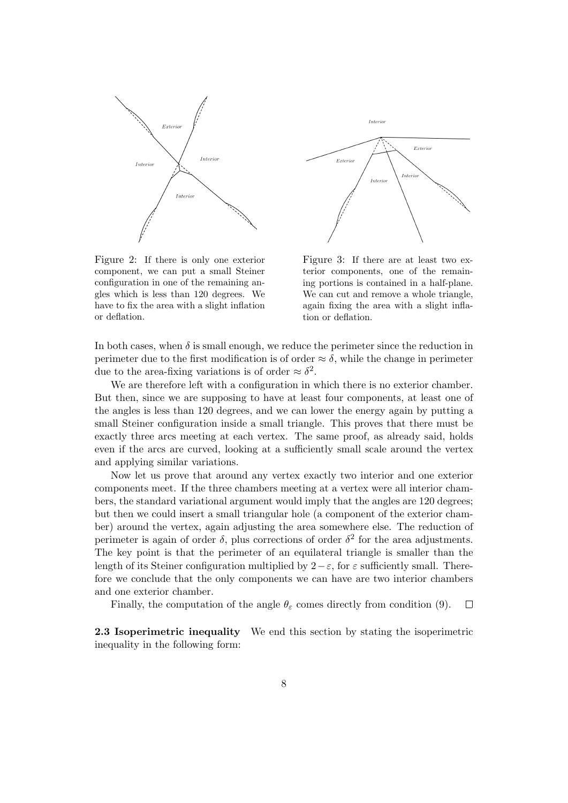

<span id="page-7-0"></span>Figure 2: If there is only one exterior component, we can put a small Steiner configuration in one of the remaining angles which is less than 120 degrees. We have to fix the area with a slight inflation or deflation.



<span id="page-7-1"></span>Figure 3: If there are at least two exterior components, one of the remaining portions is contained in a half-plane. We can cut and remove a whole triangle, again fixing the area with a slight inflation or deflation.

In both cases, when  $\delta$  is small enough, we reduce the perimeter since the reduction in perimeter due to the first modification is of order  $\approx \delta$ , while the change in perimeter due to the area-fixing variations is of order  $\approx \delta^2$ .

We are therefore left with a configuration in which there is no exterior chamber. But then, since we are supposing to have at least four components, at least one of the angles is less than 120 degrees, and we can lower the energy again by putting a small Steiner configuration inside a small triangle. This proves that there must be exactly three arcs meeting at each vertex. The same proof, as already said, holds even if the arcs are curved, looking at a sufficiently small scale around the vertex and applying similar variations.

Now let us prove that around any vertex exactly two interior and one exterior components meet. If the three chambers meeting at a vertex were all interior chambers, the standard variational argument would imply that the angles are 120 degrees; but then we could insert a small triangular hole (a component of the exterior chamber) around the vertex, again adjusting the area somewhere else. The reduction of perimeter is again of order  $\delta$ , plus corrections of order  $\delta^2$  for the area adjustments. The key point is that the perimeter of an equilateral triangle is smaller than the length of its Steiner configuration multiplied by  $2-\varepsilon$ , for  $\varepsilon$  sufficiently small. Therefore we conclude that the only components we can have are two interior chambers and one exterior chamber.

Finally, the computation of the angle  $\theta_{\varepsilon}$  comes directly from condition [\(9\)](#page-6-0).  $\Box$ 

2.3 Isoperimetric inequality We end this section by stating the isoperimetric inequality in the following form: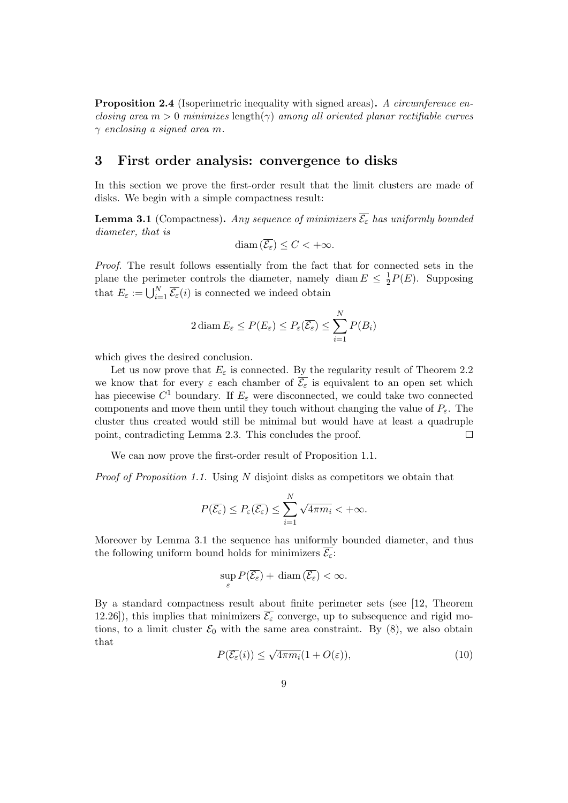<span id="page-8-3"></span>**Proposition 2.4** (Isoperimetric inequality with signed areas). A circumference enclosing area  $m > 0$  minimizes length( $\gamma$ ) among all oriented planar rectifiable curves  $\gamma$  enclosing a signed area m.

## <span id="page-8-0"></span>3 First order analysis: convergence to disks

In this section we prove the first-order result that the limit clusters are made of disks. We begin with a simple compactness result:

<span id="page-8-1"></span>**Lemma 3.1** (Compactness). Any sequence of minimizers  $\overline{\mathcal{E}_{\varepsilon}}$  has uniformly bounded diameter, that is

$$
\text{diam}\left(\overline{\mathcal{E}_{\varepsilon}}\right) \leq C < +\infty.
$$

Proof. The result follows essentially from the fact that for connected sets in the plane the perimeter controls the diameter, namely diam  $E \leq \frac{1}{2}$  $\frac{1}{2}P(E)$ . Supposing that  $E_{\varepsilon} := \bigcup_{i=1}^{N} \overline{\mathcal{E}_{\varepsilon}}(i)$  is connected we indeed obtain

$$
2 \operatorname{diam} E_{\varepsilon} \le P(E_{\varepsilon}) \le P_{\varepsilon}(\overline{\mathcal{E}_{\varepsilon}}) \le \sum_{i=1}^N P(B_i)
$$

which gives the desired conclusion.

Let us now prove that  $E_{\varepsilon}$  is connected. By the regularity result of Theorem [2.2](#page-5-0) we know that for every  $\varepsilon$  each chamber of  $\overline{\mathcal{E}_{\varepsilon}}$  is equivalent to an open set which has piecewise  $C^1$  boundary. If  $E_\varepsilon$  were disconnected, we could take two connected components and move them until they touch without changing the value of  $P_{\varepsilon}$ . The cluster thus created would still be minimal but would have at least a quadruple point, contradicting Lemma [2.3.](#page-6-1) This concludes the proof. П

We can now prove the first-order result of Proposition [1.1.](#page-1-0)

Proof of Proposition [1.1.](#page-1-0) Using N disjoint disks as competitors we obtain that

$$
P(\overline{\mathcal{E}_{\varepsilon}}) \le P_{\varepsilon}(\overline{\mathcal{E}_{\varepsilon}}) \le \sum_{i=1}^N \sqrt{4\pi m_i} < +\infty.
$$

Moreover by Lemma [3.1](#page-8-1) the sequence has uniformly bounded diameter, and thus the following uniform bound holds for minimizers  $\overline{\mathcal{E}_{\varepsilon}}$ :

$$
\sup_{\varepsilon} P(\overline{\mathcal{E}_{\varepsilon}}) + \operatorname{diam}(\overline{\mathcal{E}_{\varepsilon}}) < \infty.
$$

By a standard compactness result about finite perimeter sets (see [\[12,](#page-25-8) Theorem 12.26]), this implies that minimizers  $\overline{\mathcal{E}_{\varepsilon}}$  converge, up to subsequence and rigid motions, to a limit cluster  $\mathcal{E}_0$  with the same area constraint. By [\(8\)](#page-5-1), we also obtain that √

<span id="page-8-2"></span>
$$
P(\overline{\mathcal{E}_{\varepsilon}}(i)) \le \sqrt{4\pi m_i} (1 + O(\varepsilon)),\tag{10}
$$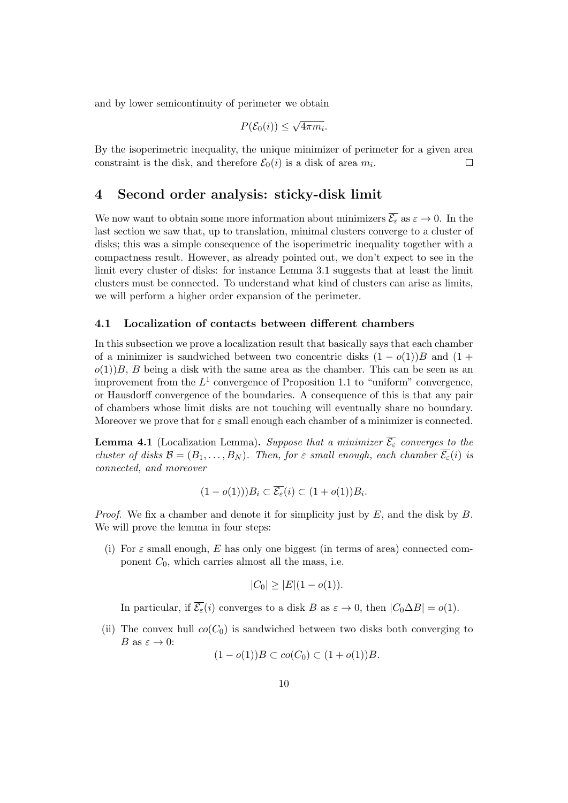and by lower semicontinuity of perimeter we obtain

$$
P(\mathcal{E}_0(i)) \le \sqrt{4\pi m_i}.
$$

By the isoperimetric inequality, the unique minimizer of perimeter for a given area constraint is the disk, and therefore  $\mathcal{E}_0(i)$  is a disk of area  $m_i$ .  $\Box$ 

## <span id="page-9-0"></span>4 Second order analysis: sticky-disk limit

We now want to obtain some more information about minimizers  $\overline{\mathcal{E}_{\varepsilon}}$  as  $\varepsilon \to 0$ . In the last section we saw that, up to translation, minimal clusters converge to a cluster of disks; this was a simple consequence of the isoperimetric inequality together with a compactness result. However, as already pointed out, we don't expect to see in the limit every cluster of disks: for instance Lemma [3.1](#page-8-1) suggests that at least the limit clusters must be connected. To understand what kind of clusters can arise as limits, we will perform a higher order expansion of the perimeter.

#### <span id="page-9-1"></span>4.1 Localization of contacts between different chambers

In this subsection we prove a localization result that basically says that each chamber of a minimizer is sandwiched between two concentric disks  $(1 - o(1))B$  and  $(1 +$  $o(1)$ B, B being a disk with the same area as the chamber. This can be seen as an improvement from the  $L^1$  convergence of Proposition [1.1](#page-1-0) to "uniform" convergence, or Hausdorff convergence of the boundaries. A consequence of this is that any pair of chambers whose limit disks are not touching will eventually share no boundary. Moreover we prove that for  $\varepsilon$  small enough each chamber of a minimizer is connected.

<span id="page-9-2"></span>**Lemma 4.1** (Localization Lemma). Suppose that a minimizer  $\overline{\mathcal{E}_{\varepsilon}}$  converges to the cluster of disks  $\mathcal{B} = (B_1, \ldots, B_N)$ . Then, for  $\varepsilon$  small enough, each chamber  $\overline{\mathcal{E}_{\varepsilon}}(i)$  is connected, and moreover

$$
(1 - o(1))) B_i \subset \overline{\mathcal{E}_{\varepsilon}}(i) \subset (1 + o(1)) B_i.
$$

*Proof.* We fix a chamber and denote it for simplicity just by  $E$ , and the disk by  $B$ . We will prove the lemma in four steps:

(i) For  $\varepsilon$  small enough, E has only one biggest (in terms of area) connected component  $C_0$ , which carries almost all the mass, i.e.

$$
|C_0| \ge |E|(1 - o(1)).
$$

In particular, if  $\overline{\mathcal{E}_{\varepsilon}}(i)$  converges to a disk B as  $\varepsilon \to 0$ , then  $|C_0 \Delta B| = o(1)$ .

(ii) The convex hull  $co(C_0)$  is sandwiched between two disks both converging to B as  $\varepsilon \to 0$ :

$$
(1 - o(1))B \subset co(C_0) \subset (1 + o(1))B.
$$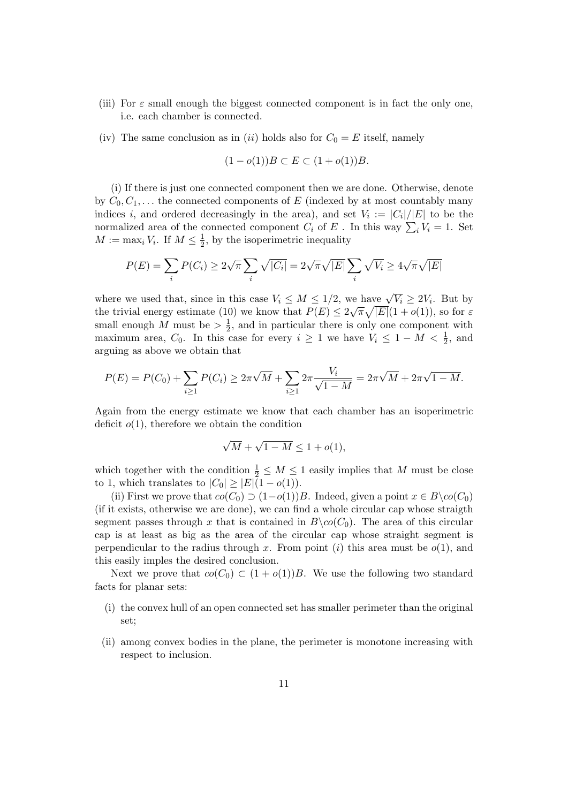- (iii) For  $\varepsilon$  small enough the biggest connected component is in fact the only one, i.e. each chamber is connected.
- (iv) The same conclusion as in (ii) holds also for  $C_0 = E$  itself, namely

$$
(1 - o(1))B \subset E \subset (1 + o(1))B.
$$

(i) If there is just one connected component then we are done. Otherwise, denote by  $C_0, C_1, \ldots$  the connected components of E (indexed by at most countably many indices i, and ordered decreasingly in the area), and set  $V_i := |C_i|/|E|$  to be the normalized area of the connected component  $C_i$  of E. In this way  $\sum_i V_i = 1$ . Set  $M := \max_i V_i$ . If  $M \leq \frac{1}{2}$  $\frac{1}{2}$ , by the isoperimetric inequality

$$
P(E) = \sum_{i} P(C_i) \ge 2\sqrt{\pi} \sum_{i} \sqrt{|C_i|} = 2\sqrt{\pi} \sqrt{|E|} \sum_{i} \sqrt{V_i} \ge 4\sqrt{\pi} \sqrt{|E|}
$$

where we used that, since in this case  $V_i \leq M \leq 1/2$ , we have  $\sqrt{V_i} \geq 2V_i$ . But by the trivial energy estimate [\(10\)](#page-8-2) we know that  $P(E) \leq 2\sqrt{\pi}\sqrt{|E|}(1+o(1))$ , so for  $\varepsilon$ small enough M must be  $> \frac{1}{2}$  $\frac{1}{2}$ , and in particular there is only one component with maximum area,  $C_0$ . In this case for every  $i \geq 1$  we have  $V_i \leq 1 - M < \frac{1}{2}$ , and arguing as above we obtain that

$$
P(E) = P(C_0) + \sum_{i \ge 1} P(C_i) \ge 2\pi\sqrt{M} + \sum_{i \ge 1} 2\pi \frac{V_i}{\sqrt{1 - M}} = 2\pi\sqrt{M} + 2\pi\sqrt{1 - M}.
$$

Again from the energy estimate we know that each chamber has an isoperimetric deficit  $o(1)$ , therefore we obtain the condition

$$
\sqrt{M} + \sqrt{1 - M} \le 1 + o(1),
$$

which together with the condition  $\frac{1}{2} \leq M \leq 1$  easily implies that M must be close to 1, which translates to  $|C_0| \geq |E|(1 - o(1)).$ 

(ii) First we prove that  $co(C_0) \supset (1-o(1))B$ . Indeed, given a point  $x \in B \setminus co(C_0)$ (if it exists, otherwise we are done), we can find a whole circular cap whose straigth segment passes through x that is contained in  $B\setminus co(C_0)$ . The area of this circular cap is at least as big as the area of the circular cap whose straight segment is perpendicular to the radius through x. From point (i) this area must be  $o(1)$ , and this easily imples the desired conclusion.

Next we prove that  $co(C_0) \subset (1 + o(1))B$ . We use the following two standard facts for planar sets:

- (i) the convex hull of an open connected set has smaller perimeter than the original set;
- (ii) among convex bodies in the plane, the perimeter is monotone increasing with respect to inclusion.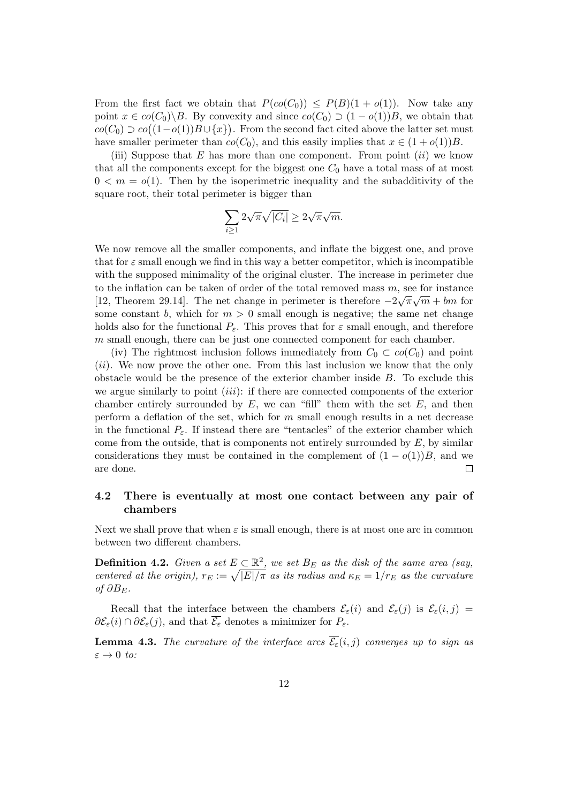From the first fact we obtain that  $P(co(C_0)) \leq P(B)(1 + o(1))$ . Now take any point  $x \in co(C_0) \backslash B$ . By convexity and since  $co(C_0) \supset (1 - o(1))B$ , we obtain that  $co(C_0) \supset co((1-o(1))B \cup \{x\})$ . From the second fact cited above the latter set must have smaller perimeter than  $co(C_0)$ , and this easily implies that  $x \in (1 + o(1))B$ .

(iii) Suppose that  $E$  has more than one component. From point *(ii)* we know that all the components except for the biggest one  $C_0$  have a total mass of at most  $0 < m = o(1)$ . Then by the isoperimetric inequality and the subadditivity of the square root, their total perimeter is bigger than

$$
\sum_{i\geq 1} 2\sqrt{\pi}\sqrt{|C_i|} \geq 2\sqrt{\pi}\sqrt{m}.
$$

We now remove all the smaller components, and inflate the biggest one, and prove that for  $\varepsilon$  small enough we find in this way a better competitor, which is incompatible with the supposed minimality of the original cluster. The increase in perimeter due to the inflation can be taken of order of the total removed mass  $m$ , see for instance [\[12,](#page-25-8) Theorem 29.14]. The net change in perimeter is therefore  $-2\sqrt{\pi}\sqrt{m} + bm$  for some constant b, which for  $m > 0$  small enough is negative; the same net change holds also for the functional  $P_{\varepsilon}$ . This proves that for  $\varepsilon$  small enough, and therefore m small enough, there can be just one connected component for each chamber.

(iv) The rightmost inclusion follows immediately from  $C_0 \subset co(C_0)$  and point (ii). We now prove the other one. From this last inclusion we know that the only obstacle would be the presence of the exterior chamber inside  $B$ . To exclude this we argue similarly to point  $(iii)$ : if there are connected components of the exterior chamber entirely surrounded by  $E$ , we can "fill" them with the set  $E$ , and then perform a deflation of the set, which for  $m$  small enough results in a net decrease in the functional  $P_{\varepsilon}$ . If instead there are "tentacles" of the exterior chamber which come from the outside, that is components not entirely surrounded by  $E$ , by similar considerations they must be contained in the complement of  $(1 - o(1))B$ , and we are done.  $\Box$ 

## <span id="page-11-0"></span>4.2 There is eventually at most one contact between any pair of chambers

Next we shall prove that when  $\varepsilon$  is small enough, there is at most one arc in common between two different chambers.

<span id="page-11-1"></span>**Definition 4.2.** Given a set  $E \subset \mathbb{R}^2$ , we set  $B_E$  as the disk of the same area (say, centered at the origin),  $r_E := \sqrt{|E|/\pi}$  as its radius and  $\kappa_E = 1/r_E$  as the curvature of  $\partial B_E$ .

Recall that the interface between the chambers  $\mathcal{E}_{\varepsilon}(i)$  and  $\mathcal{E}_{\varepsilon}(i)$  is  $\mathcal{E}_{\varepsilon}(i,j)$  $\partial \mathcal{E}_{\varepsilon}(i) \cap \partial \mathcal{E}_{\varepsilon}(j)$ , and that  $\overline{\mathcal{E}_{\varepsilon}}$  denotes a minimizer for  $P_{\varepsilon}$ .

<span id="page-11-2"></span>**Lemma 4.3.** The curvature of the interface arcs  $\overline{\mathcal{E}_{\epsilon}}(i, j)$  converges up to sign as  $\varepsilon \to 0$  to: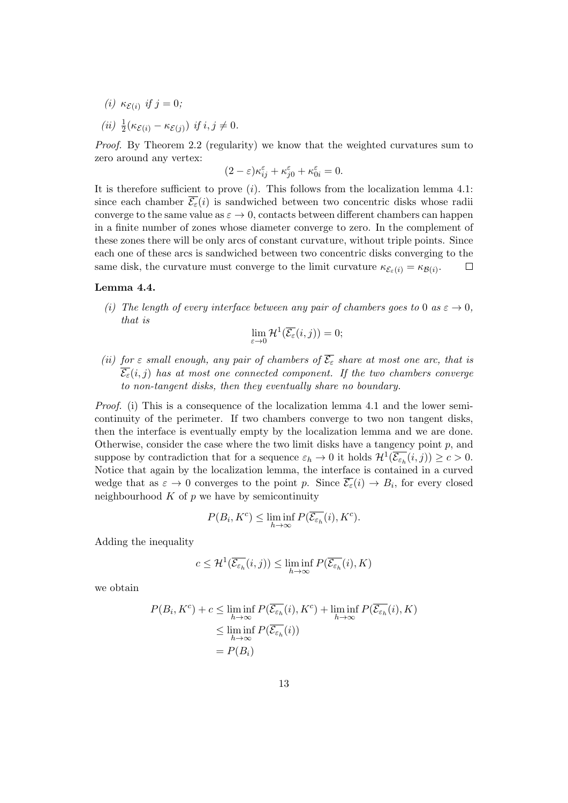- (i)  $\kappa_{\mathcal{E}(i)}$  if  $j=0$ ;
- (*ii*)  $\frac{1}{2}(\kappa_{\mathcal{E}(i)} \kappa_{\mathcal{E}(j)})$  *if*  $i, j \neq 0$ .

Proof. By Theorem [2.2](#page-5-0) (regularity) we know that the weighted curvatures sum to zero around any vertex:

$$
(2 - \varepsilon)\kappa_{ij}^{\varepsilon} + \kappa_{j0}^{\varepsilon} + \kappa_{0i}^{\varepsilon} = 0.
$$

It is therefore sufficient to prove  $(i)$ . This follows from the localization lemma [4.1:](#page-9-2) since each chamber  $\overline{\mathcal{E}_{\varepsilon}}(i)$  is sandwiched between two concentric disks whose radii converge to the same value as  $\varepsilon \to 0$ , contacts between different chambers can happen in a finite number of zones whose diameter converge to zero. In the complement of these zones there will be only arcs of constant curvature, without triple points. Since each one of these arcs is sandwiched between two concentric disks converging to the same disk, the curvature must converge to the limit curvature  $\kappa_{\mathcal{E}_{\varepsilon}(i)} = \kappa_{\mathcal{B}(i)}$ .  $\Box$ 

### <span id="page-12-0"></span>Lemma 4.4.

(i) The length of every interface between any pair of chambers goes to 0 as  $\varepsilon \to 0$ , that is

$$
\lim_{\varepsilon \to 0} \mathcal{H}^1(\overline{\mathcal{E}_\varepsilon}(i,j)) = 0;
$$

(ii) for  $\varepsilon$  small enough, any pair of chambers of  $\overline{\mathcal{E}_{\varepsilon}}$  share at most one arc, that is  $\overline{\mathcal{E}_{\varepsilon}}(i, j)$  has at most one connected component. If the two chambers converge to non-tangent disks, then they eventually share no boundary.

Proof. (i) This is a consequence of the localization lemma [4.1](#page-9-2) and the lower semicontinuity of the perimeter. If two chambers converge to two non tangent disks, then the interface is eventually empty by the localization lemma and we are done. Otherwise, consider the case where the two limit disks have a tangency point  $p$ , and suppose by contradiction that for a sequence  $\varepsilon_h \to 0$  it holds  $\mathcal{H}^1(\overline{\mathcal{E}_{\varepsilon_h}}(i,j)) \geq c > 0$ . Notice that again by the localization lemma, the interface is contained in a curved wedge that as  $\varepsilon \to 0$  converges to the point p. Since  $\overline{\mathcal{E}_{\varepsilon}}(i) \to B_i$ , for every closed neighbourhood  $K$  of  $p$  we have by semicontinuity

$$
P(B_i, K^c) \le \liminf_{h \to \infty} P(\overline{\mathcal{E}_{\varepsilon_h}}(i), K^c).
$$

Adding the inequality

$$
c \leq \mathcal{H}^1(\overline{\mathcal{E}_{\varepsilon_h}}(i,j)) \leq \liminf_{h \to \infty} P(\overline{\mathcal{E}_{\varepsilon_h}}(i), K)
$$

we obtain

$$
P(B_i, K^c) + c \le \liminf_{h \to \infty} P(\overline{\mathcal{E}_{\varepsilon_h}}(i), K^c) + \liminf_{h \to \infty} P(\overline{\mathcal{E}_{\varepsilon_h}}(i), K)
$$
  

$$
\le \liminf_{h \to \infty} P(\overline{\mathcal{E}_{\varepsilon_h}}(i))
$$
  

$$
= P(B_i)
$$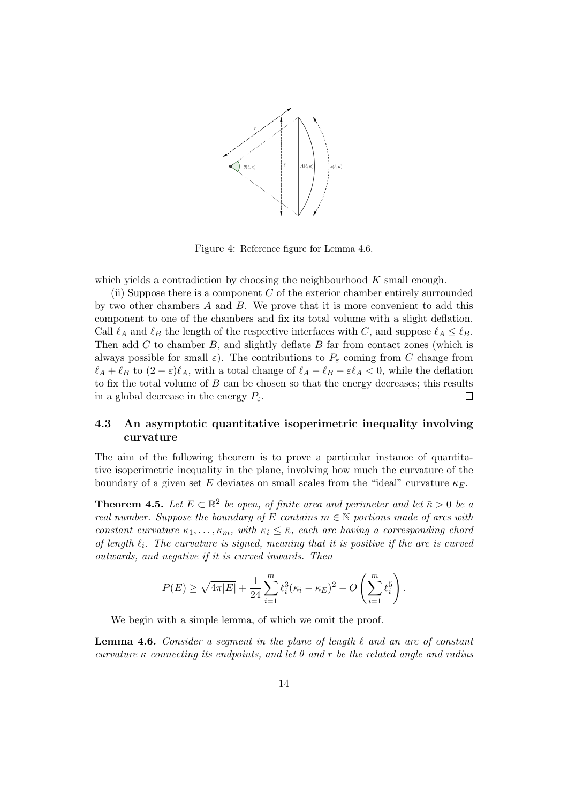

<span id="page-13-3"></span>Figure 4: Reference figure for Lemma [4.6.](#page-13-2)

which yields a contradiction by choosing the neighbourhood  $K$  small enough.

(ii) Suppose there is a component  $C$  of the exterior chamber entirely surrounded by two other chambers  $A$  and  $B$ . We prove that it is more convenient to add this component to one of the chambers and fix its total volume with a slight deflation. Call  $\ell_A$  and  $\ell_B$  the length of the respective interfaces with C, and suppose  $\ell_A \leq \ell_B$ . Then add  $C$  to chamber  $B$ , and slightly deflate  $B$  far from contact zones (which is always possible for small  $\varepsilon$ ). The contributions to  $P_{\varepsilon}$  coming from C change from  $\ell_A + \ell_B$  to  $(2 - \varepsilon)\ell_A$ , with a total change of  $\ell_A - \ell_B - \varepsilon\ell_A < 0$ , while the deflation to fix the total volume of  $B$  can be chosen so that the energy decreases; this results in a global decrease in the energy  $P_{\varepsilon}$ .  $\Box$ 

## <span id="page-13-1"></span>4.3 An asymptotic quantitative isoperimetric inequality involving curvature

The aim of the following theorem is to prove a particular instance of quantitative isoperimetric inequality in the plane, involving how much the curvature of the boundary of a given set E deviates on small scales from the "ideal" curvature  $\kappa_F$ .

<span id="page-13-0"></span>**Theorem 4.5.** Let  $E \subset \mathbb{R}^2$  be open, of finite area and perimeter and let  $\bar{\kappa} > 0$  be a real number. Suppose the boundary of E contains  $m \in \mathbb{N}$  portions made of arcs with constant curvature  $\kappa_1, \ldots, \kappa_m$ , with  $\kappa_i \leq \bar{\kappa}$ , each arc having a corresponding chord of length  $\ell_i$ . The curvature is signed, meaning that it is positive if the arc is curved outwards, and negative if it is curved inwards. Then

$$
P(E) \ge \sqrt{4\pi |E|} + \frac{1}{24} \sum_{i=1}^{m} \ell_i^3 (\kappa_i - \kappa_E)^2 - O\left(\sum_{i=1}^{m} \ell_i^5\right).
$$

We begin with a simple lemma, of which we omit the proof.

<span id="page-13-2"></span>**Lemma 4.6.** Consider a segment in the plane of length  $\ell$  and an arc of constant curvature  $\kappa$  connecting its endpoints, and let  $\theta$  and r be the related angle and radius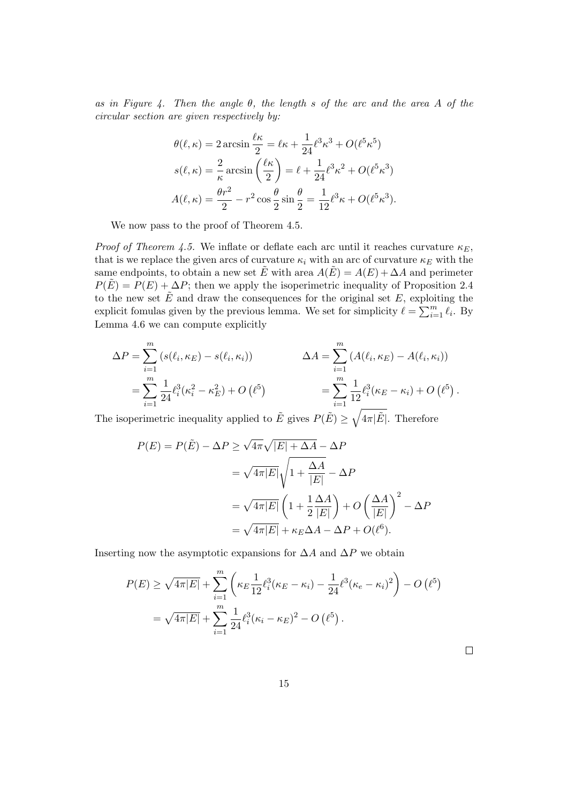as in Figure [4.](#page-13-3) Then the angle  $\theta$ , the length s of the arc and the area A of the circular section are given respectively by:

$$
\theta(\ell,\kappa) = 2 \arcsin \frac{\ell \kappa}{2} = \ell \kappa + \frac{1}{24} \ell^3 \kappa^3 + O(\ell^5 \kappa^5)
$$

$$
s(\ell,\kappa) = \frac{2}{\kappa} \arcsin \left(\frac{\ell \kappa}{2}\right) = \ell + \frac{1}{24} \ell^3 \kappa^2 + O(\ell^5 \kappa^3)
$$

$$
A(\ell,\kappa) = \frac{\theta r^2}{2} - r^2 \cos \frac{\theta}{2} \sin \frac{\theta}{2} = \frac{1}{12} \ell^3 \kappa + O(\ell^5 \kappa^3).
$$

We now pass to the proof of Theorem [4.5.](#page-13-0)

*Proof of Theorem [4.5.](#page-13-0)* We inflate or deflate each arc until it reaches curvature  $\kappa_E$ , that is we replace the given arcs of curvature  $\kappa_i$  with an arc of curvature  $\kappa_E$  with the same endpoints, to obtain a new set E with area  $A(E) = A(E) + \Delta A$  and perimeter  $P(E) = P(E) + \Delta P$ ; then we apply the isoperimetric inequality of Proposition [2.4](#page-8-3) to the new set  $\tilde{E}$  and draw the consequences for the original set E, exploiting the explicit fomulas given by the previous lemma. We set for simplicity  $\ell = \sum_{i=1}^{m} \ell_i$ . By Lemma [4.6](#page-13-2) we can compute explicitly

$$
\Delta P = \sum_{i=1}^{m} (s(\ell_i, \kappa_E) - s(\ell_i, \kappa_i)) \qquad \Delta A = \sum_{i=1}^{m} (A(\ell_i, \kappa_E) - A(\ell_i, \kappa_i))
$$
  
= 
$$
\sum_{i=1}^{m} \frac{1}{24} \ell_i^3(\kappa_i^2 - \kappa_E^2) + O(\ell^5) \qquad \qquad = \sum_{i=1}^{m} \frac{1}{12} \ell_i^3(\kappa_E - \kappa_i) + O(\ell^5).
$$

The isoperimetric inequality applied to  $\tilde{E}$  gives  $P(\tilde{E}) \ge \sqrt{4\pi|\tilde{E}|}$ . Therefore

$$
P(E) = P(\tilde{E}) - \Delta P \ge \sqrt{4\pi} \sqrt{|E| + \Delta A} - \Delta P
$$
  
=  $\sqrt{4\pi |E|} \sqrt{1 + \frac{\Delta A}{|E|}} - \Delta P$   
=  $\sqrt{4\pi |E|} \left(1 + \frac{1}{2} \frac{\Delta A}{|E|}\right) + O\left(\frac{\Delta A}{|E|}\right)^2 - \Delta P$   
=  $\sqrt{4\pi |E|} + \kappa_E \Delta A - \Delta P + O(\ell^6).$ 

Inserting now the asymptotic expansions for  $\Delta A$  and  $\Delta P$  we obtain

$$
P(E) \ge \sqrt{4\pi|E|} + \sum_{i=1}^{m} \left( \kappa_E \frac{1}{12} \ell_i^3 (\kappa_E - \kappa_i) - \frac{1}{24} \ell^3 (\kappa_e - \kappa_i)^2 \right) - O\left(\ell^5\right)
$$
  
=  $\sqrt{4\pi|E|} + \sum_{i=1}^{m} \frac{1}{24} \ell_i^3 (\kappa_i - \kappa_E)^2 - O\left(\ell^5\right).$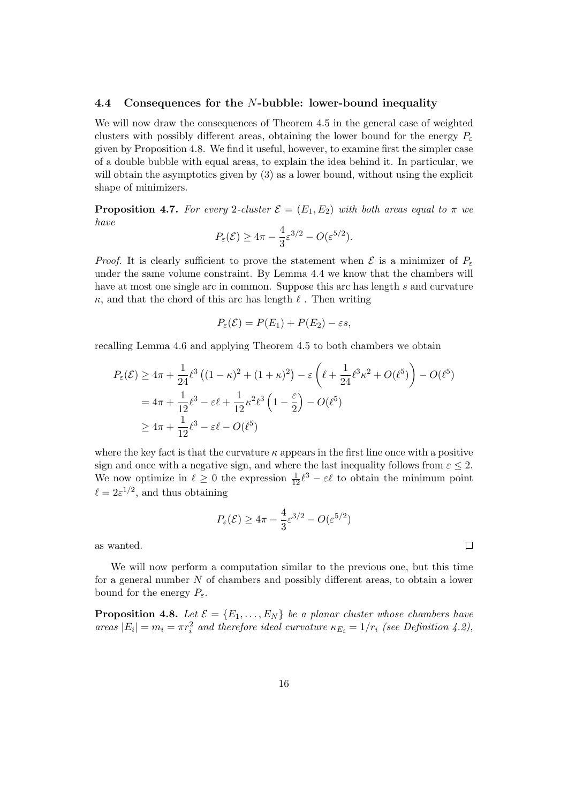#### 4.4 Consequences for the N-bubble: lower-bound inequality

We will now draw the consequences of Theorem [4.5](#page-13-0) in the general case of weighted clusters with possibly different areas, obtaining the lower bound for the energy  $P_{\varepsilon}$ given by Proposition [4.8.](#page-15-0) We find it useful, however, to examine first the simpler case of a double bubble with equal areas, to explain the idea behind it. In particular, we will obtain the asymptotics given by  $(3)$  as a lower bound, without using the explicit shape of minimizers.

**Proposition 4.7.** For every 2-cluster  $\mathcal{E} = (E_1, E_2)$  with both areas equal to  $\pi$  we have

$$
P_{\varepsilon}(\mathcal{E}) \ge 4\pi - \frac{4}{3}\varepsilon^{3/2} - O(\varepsilon^{5/2}).
$$

*Proof.* It is clearly sufficient to prove the statement when  $\mathcal E$  is a minimizer of  $P_{\varepsilon}$ under the same volume constraint. By Lemma [4.4](#page-12-0) we know that the chambers will have at most one single arc in common. Suppose this arc has length s and curvature  $\kappa$ , and that the chord of this arc has length  $\ell$ . Then writing

$$
P_{\varepsilon}(\mathcal{E}) = P(E_1) + P(E_2) - \varepsilon s,
$$

recalling Lemma [4.6](#page-13-2) and applying Theorem [4.5](#page-13-0) to both chambers we obtain

$$
P_{\varepsilon}(\mathcal{E}) \ge 4\pi + \frac{1}{24} \ell^{3} \left( (1 - \kappa)^{2} + (1 + \kappa)^{2} \right) - \varepsilon \left( \ell + \frac{1}{24} \ell^{3} \kappa^{2} + O(\ell^{5}) \right) - O(\ell^{5})
$$
  
=  $4\pi + \frac{1}{12} \ell^{3} - \varepsilon \ell + \frac{1}{12} \kappa^{2} \ell^{3} \left( 1 - \frac{\varepsilon}{2} \right) - O(\ell^{5})$   
 $\ge 4\pi + \frac{1}{12} \ell^{3} - \varepsilon \ell - O(\ell^{5})$ 

where the key fact is that the curvature  $\kappa$  appears in the first line once with a positive sign and once with a negative sign, and where the last inequality follows from  $\varepsilon \leq 2$ . We now optimize in  $\ell \geq 0$  the expression  $\frac{1}{12} \ell^3 - \varepsilon \ell$  to obtain the minimum point  $\ell = 2\varepsilon^{1/2}$ , and thus obtaining

$$
P_{\varepsilon}(\mathcal{E}) \ge 4\pi - \frac{4}{3}\varepsilon^{3/2} - O(\varepsilon^{5/2})
$$

 $\Box$ 

as wanted.

We will now perform a computation similar to the previous one, but this time for a general number N of chambers and possibly different areas, to obtain a lower bound for the energy  $P_{\varepsilon}$ .

<span id="page-15-0"></span>**Proposition 4.8.** Let  $\mathcal{E} = \{E_1, \ldots, E_N\}$  be a planar cluster whose chambers have areas  $|E_i| = m_i = \pi r_i^2$  and therefore ideal curvature  $\kappa_{E_i} = 1/r_i$  (see Definition [4.2\)](#page-11-1),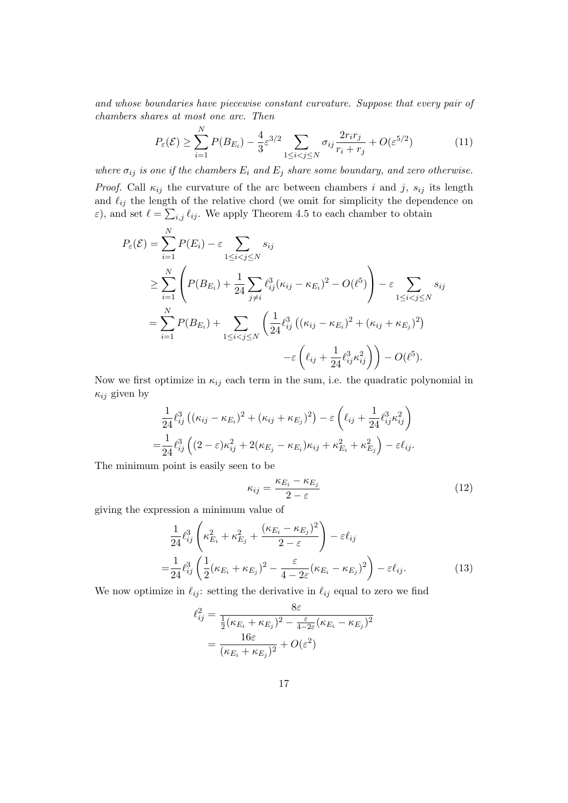and whose boundaries have piecewise constant curvature. Suppose that every pair of chambers shares at most one arc. Then

N

<span id="page-16-1"></span>
$$
P_{\varepsilon}(\mathcal{E}) \ge \sum_{i=1}^{N} P(B_{E_i}) - \frac{4}{3} \varepsilon^{3/2} \sum_{1 \le i < j \le N} \sigma_{ij} \frac{2r_i r_j}{r_i + r_j} + O(\varepsilon^{5/2}) \tag{11}
$$

where  $\sigma_{ij}$  is one if the chambers  $E_i$  and  $E_j$  share some boundary, and zero otherwise.

*Proof.* Call  $\kappa_{ij}$  the curvature of the arc between chambers i and j,  $s_{ij}$  its length and  $\ell_{ij}$  the length of the relative chord (we omit for simplicity the dependence on  $\varepsilon$ ), and set  $\ell = \sum_{i,j} \ell_{ij}$ . We apply Theorem [4.5](#page-13-0) to each chamber to obtain

$$
P_{\varepsilon}(\mathcal{E}) = \sum_{i=1}^{N} P(E_i) - \varepsilon \sum_{1 \le i < j \le N} s_{ij}
$$
  
\n
$$
\ge \sum_{i=1}^{N} \left( P(B_{E_i}) + \frac{1}{24} \sum_{j \ne i} \ell_{ij}^3 (\kappa_{ij} - \kappa_{E_i})^2 - O(\ell^5) \right) - \varepsilon \sum_{1 \le i < j \le N} s_{ij}
$$
  
\n
$$
= \sum_{i=1}^{N} P(B_{E_i}) + \sum_{1 \le i < j \le N} \left( \frac{1}{24} \ell_{ij}^3 \left( (\kappa_{ij} - \kappa_{E_i})^2 + (\kappa_{ij} + \kappa_{E_j})^2 \right) - \varepsilon \left( \ell_{ij} + \frac{1}{24} \ell_{ij}^3 \kappa_{ij}^2 \right) \right) - O(\ell^5).
$$

Now we first optimize in  $\kappa_{ij}$  each term in the sum, i.e. the quadratic polynomial in  $\kappa_{ij}$  given by

$$
\frac{1}{24} \ell_{ij}^3 \left( (\kappa_{ij} - \kappa_{E_i})^2 + (\kappa_{ij} + \kappa_{E_j})^2 \right) - \varepsilon \left( \ell_{ij} + \frac{1}{24} \ell_{ij}^3 \kappa_{ij}^2 \right) \n= \frac{1}{24} \ell_{ij}^3 \left( (2 - \varepsilon) \kappa_{ij}^2 + 2(\kappa_{E_j} - \kappa_{E_i}) \kappa_{ij} + \kappa_{E_i}^2 + \kappa_{E_j}^2 \right) - \varepsilon \ell_{ij}.
$$

The minimum point is easily seen to be

<span id="page-16-2"></span><span id="page-16-0"></span>
$$
\kappa_{ij} = \frac{\kappa_{E_i} - \kappa_{E_j}}{2 - \varepsilon} \tag{12}
$$

giving the expression a minimum value of

$$
\frac{1}{24}\ell_{ij}^3 \left(\kappa_{E_i}^2 + \kappa_{E_j}^2 + \frac{(\kappa_{E_i} - \kappa_{E_j})^2}{2 - \varepsilon}\right) - \varepsilon \ell_{ij}
$$
\n
$$
= \frac{1}{24}\ell_{ij}^3 \left(\frac{1}{2}(\kappa_{E_i} + \kappa_{E_j})^2 - \frac{\varepsilon}{4 - 2\varepsilon}(\kappa_{E_i} - \kappa_{E_j})^2\right) - \varepsilon \ell_{ij}.
$$
\n(13)

We now optimize in  $\ell_{ij}$ : setting the derivative in  $\ell_{ij}$  equal to zero we find

$$
\ell_{ij}^2 = \frac{8\varepsilon}{\frac{1}{2}(\kappa_{E_i} + \kappa_{E_j})^2 - \frac{\varepsilon}{4 - 2\varepsilon}(\kappa_{E_i} - \kappa_{E_j})^2}
$$

$$
= \frac{16\varepsilon}{(\kappa_{E_i} + \kappa_{E_j})^2} + O(\varepsilon^2)
$$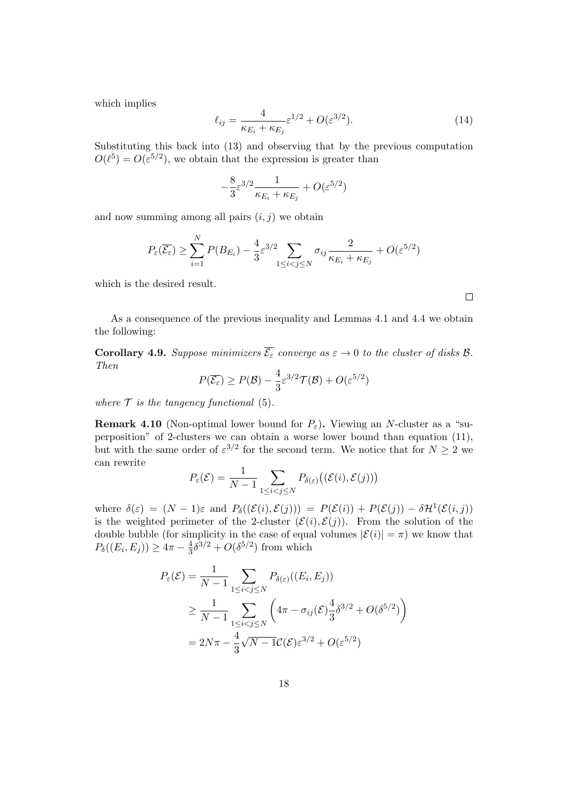which implies

<span id="page-17-1"></span>
$$
\ell_{ij} = \frac{4}{\kappa_{E_i} + \kappa_{E_j}} \varepsilon^{1/2} + O(\varepsilon^{3/2}).
$$
\n(14)

Substituting this back into [\(13\)](#page-16-0) and observing that by the previous computation  $O(\ell^5) = O(\varepsilon^{5/2})$ , we obtain that the expression is greater than

$$
-\frac{8}{3}\varepsilon^{3/2}\frac{1}{\kappa_{E_i}+\kappa_{E_j}}+O(\varepsilon^{5/2})
$$

and now summing among all pairs  $(i, j)$  we obtain

$$
P_{\varepsilon}(\overline{\mathcal{E}_{\varepsilon}}) \ge \sum_{i=1}^{N} P(B_{E_i}) - \frac{4}{3} \varepsilon^{3/2} \sum_{1 \le i < j \le N} \sigma_{ij} \frac{2}{\kappa_{E_i} + \kappa_{E_j}} + O(\varepsilon^{5/2})
$$

which is the desired result.

As a consequence of the previous inequality and Lemmas [4.1](#page-9-2) and [4.4](#page-12-0) we obtain the following:

<span id="page-17-0"></span>**Corollary 4.9.** Suppose minimizers  $\overline{\mathcal{E}_{\varepsilon}}$  converge as  $\varepsilon \to 0$  to the cluster of disks B. Then

$$
P(\overline{\mathcal{E}_{\varepsilon}}) \ge P(\mathcal{B}) - \frac{4}{3} \varepsilon^{3/2} \mathcal{T}(\mathcal{B}) + O(\varepsilon^{5/2})
$$

where  $\mathcal T$  is the tangency functional [\(5\)](#page-2-2).

**Remark 4.10** (Non-optimal lower bound for  $P_{\varepsilon}$ ). Viewing an N-cluster as a "superposition" of 2-clusters we can obtain a worse lower bound than equation [\(11\)](#page-16-1), but with the same order of  $\varepsilon^{3/2}$  for the second term. We notice that for  $N \geq 2$  we can rewrite

$$
P_{\varepsilon}(\mathcal{E}) = \frac{1}{N-1} \sum_{1 \leq i < j \leq N} P_{\delta(\varepsilon)}\big((\mathcal{E}(i), \mathcal{E}(j))\big)
$$

where  $\delta(\varepsilon) = (N-1)\varepsilon$  and  $P_{\delta}((\mathcal{E}(i), \mathcal{E}(j))) = P(\mathcal{E}(i)) + P(\mathcal{E}(j)) - \delta \mathcal{H}^{1}(\mathcal{E}(i, j))$ is the weighted perimeter of the 2-cluster  $(\mathcal{E}(i), \mathcal{E}(j))$ . From the solution of the double bubble (for simplicity in the case of equal volumes  $|\mathcal{E}(i)| = \pi$ ) we know that  $P_{\delta}((E_i, E_j)) \geq 4\pi - \frac{4}{3}$  $\frac{4}{3}\delta^{3/2}+O(\delta^{5/2})$  from which

$$
P_{\varepsilon}(\mathcal{E}) = \frac{1}{N-1} \sum_{1 \le i < j \le N} P_{\delta(\varepsilon)}((E_i, E_j))
$$
\n
$$
\ge \frac{1}{N-1} \sum_{1 \le i < j \le N} \left( 4\pi - \sigma_{ij}(\mathcal{E}) \frac{4}{3} \delta^{3/2} + O(\delta^{5/2}) \right)
$$
\n
$$
= 2N\pi - \frac{4}{3} \sqrt{N-1} \mathcal{C}(\mathcal{E}) \varepsilon^{3/2} + O(\varepsilon^{5/2})
$$

 $\Box$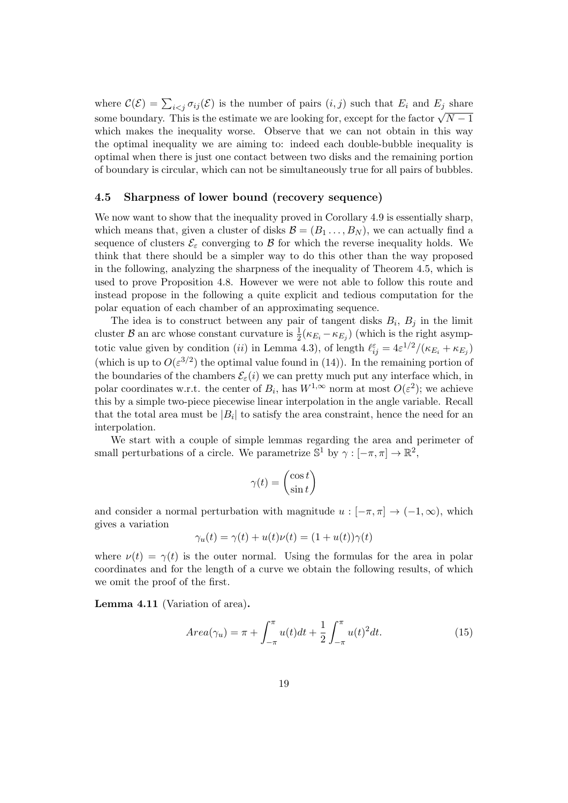where  $\mathcal{C}(\mathcal{E}) = \sum_{i \leq j} \sigma_{ij}(\mathcal{E})$  is the number of pairs  $(i, j)$  such that  $E_i$  and  $E_j$  share some boundary. This is the estimate we are looking for, except for the factor  $\sqrt{N-1}$ which makes the inequality worse. Observe that we can not obtain in this way the optimal inequality we are aiming to: indeed each double-bubble inequality is optimal when there is just one contact between two disks and the remaining portion of boundary is circular, which can not be simultaneously true for all pairs of bubbles.

#### <span id="page-18-0"></span>4.5 Sharpness of lower bound (recovery sequence)

We now want to show that the inequality proved in Corollary [4.9](#page-17-0) is essentially sharp, which means that, given a cluster of disks  $\mathcal{B} = (B_1 \dots, B_N)$ , we can actually find a sequence of clusters  $\mathcal{E}_{\varepsilon}$  converging to  $\beta$  for which the reverse inequality holds. We think that there should be a simpler way to do this other than the way proposed in the following, analyzing the sharpness of the inequality of Theorem [4.5,](#page-13-0) which is used to prove Proposition [4.8.](#page-15-0) However we were not able to follow this route and instead propose in the following a quite explicit and tedious computation for the polar equation of each chamber of an approximating sequence.

The idea is to construct between any pair of tangent disks  $B_i$ ,  $B_j$  in the limit cluster B an arc whose constant curvature is  $\frac{1}{2}(\kappa_{E_i} - \kappa_{E_j})$  (which is the right asymptotic value given by condition (*ii*) in Lemma [4.3\)](#page-11-2), of length  $\ell_{ij}^{\varepsilon} = 4\varepsilon^{1/2}/(\kappa_{E_i} + \kappa_{E_j})$ (which is up to  $O(\varepsilon^{3/2})$ ) the optimal value found in [\(14\)](#page-17-1)). In the remaining portion of the boundaries of the chambers  $\mathcal{E}_{\varepsilon}(i)$  we can pretty much put any interface which, in polar coordinates w.r.t. the center of  $B_i$ , has  $W^{1,\infty}$  norm at most  $O(\varepsilon^2)$ ; we achieve this by a simple two-piece piecewise linear interpolation in the angle variable. Recall that the total area must be  $|B_i|$  to satisfy the area constraint, hence the need for an interpolation.

We start with a couple of simple lemmas regarding the area and perimeter of small perturbations of a circle. We parametrize  $\mathbb{S}^1$  by  $\gamma : [-\pi, \pi] \to \mathbb{R}^2$ ,

$$
\gamma(t) = \begin{pmatrix} \cos t \\ \sin t \end{pmatrix}
$$

and consider a normal perturbation with magnitude  $u : [-\pi, \pi] \to (-1, \infty)$ , which gives a variation

$$
\gamma_u(t) = \gamma(t) + u(t)\nu(t) = (1 + u(t))\gamma(t)
$$

where  $\nu(t) = \gamma(t)$  is the outer normal. Using the formulas for the area in polar coordinates and for the length of a curve we obtain the following results, of which we omit the proof of the first.

Lemma 4.11 (Variation of area).

$$
Area(\gamma_u) = \pi + \int_{-\pi}^{\pi} u(t)dt + \frac{1}{2} \int_{-\pi}^{\pi} u(t)^2 dt.
$$
 (15)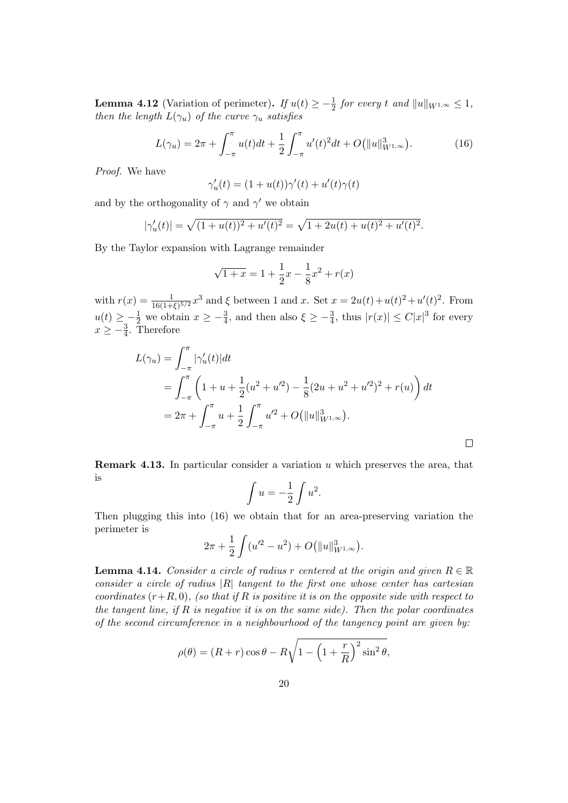<span id="page-19-1"></span>**Lemma 4.12** (Variation of perimeter). If  $u(t) \geq -\frac{1}{2}$  for every t and  $||u||_{W^{1,\infty}} \leq 1$ , then the length  $L(\gamma_u)$  of the curve  $\gamma_u$  satisfies

<span id="page-19-0"></span>
$$
L(\gamma_u) = 2\pi + \int_{-\pi}^{\pi} u(t)dt + \frac{1}{2} \int_{-\pi}^{\pi} u'(t)^2 dt + O(||u||_{W^{1,\infty}}^3).
$$
 (16)

Proof. We have

$$
\gamma'_u(t) = (1 + u(t))\gamma'(t) + u'(t)\gamma(t)
$$

and by the orthogonality of  $\gamma$  and  $\gamma'$  we obtain

$$
|\gamma'_u(t)| = \sqrt{(1+u(t))^2 + u'(t)^2} = \sqrt{1+2u(t) + u(t)^2 + u'(t)^2}.
$$

By the Taylor expansion with Lagrange remainder

$$
\sqrt{1+x} = 1 + \frac{1}{2}x - \frac{1}{8}x^2 + r(x)
$$

with  $r(x) = \frac{1}{16(1+\xi)^{5/2}}x^3$  and  $\xi$  between 1 and x. Set  $x = 2u(t) + u(t)^2 + u'(t)^2$ . From  $u(t) \geq -\frac{1}{2}$  we obtain  $x \geq -\frac{3}{4}$ , and then also  $\xi \geq -\frac{3}{4}$ , thus  $|r(x)| \leq C|x|^3$  for every  $x \geq -\frac{3}{4}$ . Therefore

$$
L(\gamma_u) = \int_{-\pi}^{\pi} |\gamma'_u(t)| dt
$$
  
= 
$$
\int_{-\pi}^{\pi} \left( 1 + u + \frac{1}{2} (u^2 + u'^2) - \frac{1}{8} (2u + u^2 + u'^2)^2 + r(u) \right) dt
$$
  
= 
$$
2\pi + \int_{-\pi}^{\pi} u + \frac{1}{2} \int_{-\pi}^{\pi} u'^2 + O(||u||_{W^{1,\infty}}^3).
$$

 $\Box$ 

**Remark 4.13.** In particular consider a variation  $u$  which preserves the area, that is

$$
\int u = -\frac{1}{2} \int u^2.
$$

Then plugging this into [\(16\)](#page-19-0) we obtain that for an area-preserving variation the perimeter is

$$
2\pi + \frac{1}{2} \int (u'^2 - u^2) + O(||u||_{W^{1,\infty}}^3).
$$

**Lemma 4.14.** Consider a circle of radius r centered at the origin and given  $R \in \mathbb{R}$ consider a circle of radius  $|R|$  tangent to the first one whose center has cartesian coordinates  $(r+R, 0)$ , (so that if R is positive it is on the opposite side with respect to the tangent line, if  $R$  is negative it is on the same side). Then the polar coordinates of the second circumference in a neighbourhood of the tangency point are given by:

$$
\rho(\theta) = (R+r)\cos\theta - R\sqrt{1 - \left(1 + \frac{r}{R}\right)^2 \sin^2\theta},
$$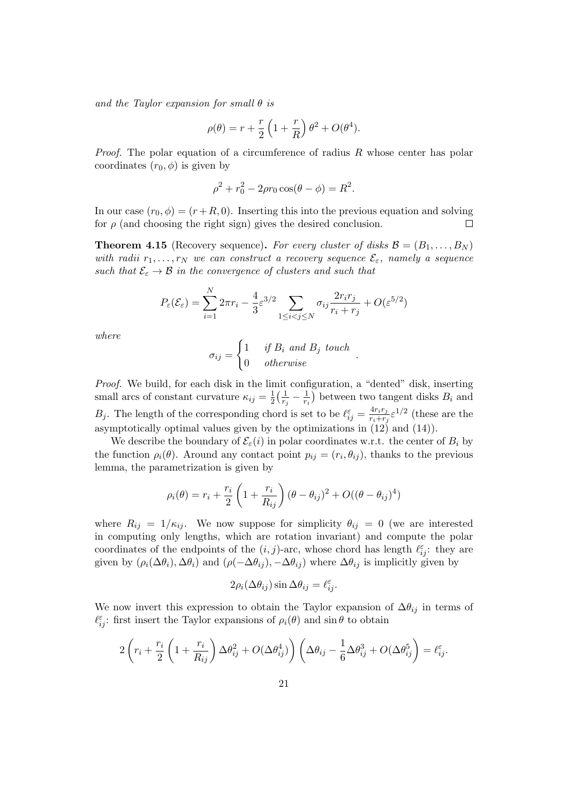and the Taylor expansion for small  $\theta$  is

$$
\rho(\theta) = r + \frac{r}{2} \left( 1 + \frac{r}{R} \right) \theta^2 + O(\theta^4).
$$

*Proof.* The polar equation of a circumference of radius R whose center has polar coordinates  $(r_0, \phi)$  is given by

$$
\rho^2 + r_0^2 - 2\rho r_0 \cos(\theta - \phi) = R^2.
$$

In our case  $(r_0, \phi) = (r + R, 0)$ . Inserting this into the previous equation and solving for  $\rho$  (and choosing the right sign) gives the desired conclusion.  $\Box$ 

<span id="page-20-0"></span>**Theorem 4.15** (Recovery sequence). For every cluster of disks  $\mathcal{B} = (B_1, \ldots, B_N)$ with radii  $r_1, \ldots, r_N$  we can construct a recovery sequence  $\mathcal{E}_{\varepsilon}$ , namely a sequence such that  $\mathcal{E}_{\varepsilon} \to \mathcal{B}$  in the convergence of clusters and such that

$$
P_{\varepsilon}(\mathcal{E}_{\varepsilon}) = \sum_{i=1}^{N} 2\pi r_i - \frac{4}{3} \varepsilon^{3/2} \sum_{1 \le i < j \le N} \sigma_{ij} \frac{2r_i r_j}{r_i + r_j} + O(\varepsilon^{5/2})
$$

where

$$
\sigma_{ij} = \begin{cases} 1 & \text{if } B_i \text{ and } B_j \text{ touch} \\ 0 & \text{otherwise} \end{cases}
$$

.

Proof. We build, for each disk in the limit configuration, a "dented" disk, inserting small arcs of constant curvature  $\kappa_{ij} = \frac{1}{2}$  $\frac{1}{2}(\frac{1}{r}$  $\frac{1}{r_j}-\frac{1}{r_i}$  $\frac{1}{r_i}$ ) between two tangent disks  $B_i$  and  $B_j$ . The length of the corresponding chord is set to be  $\ell_{ij}^{\varepsilon} = \frac{4r_i r_j}{r_i + r_i}$  $\frac{4r_ir_j}{r_i+r_j}\varepsilon^{1/2}$  (these are the asymptotically optimal values given by the optimizations in [\(12\)](#page-16-2) and [\(14\)](#page-17-1)).

We describe the boundary of  $\mathcal{E}_{\varepsilon}(i)$  in polar coordinates w.r.t. the center of  $B_i$  by the function  $\rho_i(\theta)$ . Around any contact point  $p_{ij} = (r_i, \theta_{ij})$ , thanks to the previous lemma, the parametrization is given by

$$
\rho_i(\theta) = r_i + \frac{r_i}{2} \left( 1 + \frac{r_i}{R_{ij}} \right) (\theta - \theta_{ij})^2 + O((\theta - \theta_{ij})^4)
$$

where  $R_{ij} = 1/\kappa_{ij}$ . We now suppose for simplicity  $\theta_{ij} = 0$  (we are interested in computing only lengths, which are rotation invariant) and compute the polar coordinates of the endpoints of the  $(i, j)$ -arc, whose chord has length  $\ell_{ij}^{\varepsilon}$ : they are given by  $(\rho_i(\Delta \theta_i), \Delta \theta_i)$  and  $(\rho(-\Delta \theta_{ij}), -\Delta \theta_{ij})$  where  $\Delta \theta_{ij}$  is implicitly given by

$$
2\rho_i(\Delta \theta_{ij}) \sin \Delta \theta_{ij} = \ell_{ij}^{\varepsilon}.
$$

We now invert this expression to obtain the Taylor expansion of  $\Delta\theta_{ij}$  in terms of  $\ell_{ij}^{\varepsilon}$ : first insert the Taylor expansions of  $\rho_i(\theta)$  and sin  $\theta$  to obtain

$$
2\left(r_i+\frac{r_i}{2}\left(1+\frac{r_i}{R_{ij}}\right)\Delta\theta_{ij}^2+O(\Delta\theta_{ij}^4)\right)\left(\Delta\theta_{ij}-\frac{1}{6}\Delta\theta_{ij}^3+O(\Delta\theta_{ij}^5\right)=\ell_{ij}^{\varepsilon}.
$$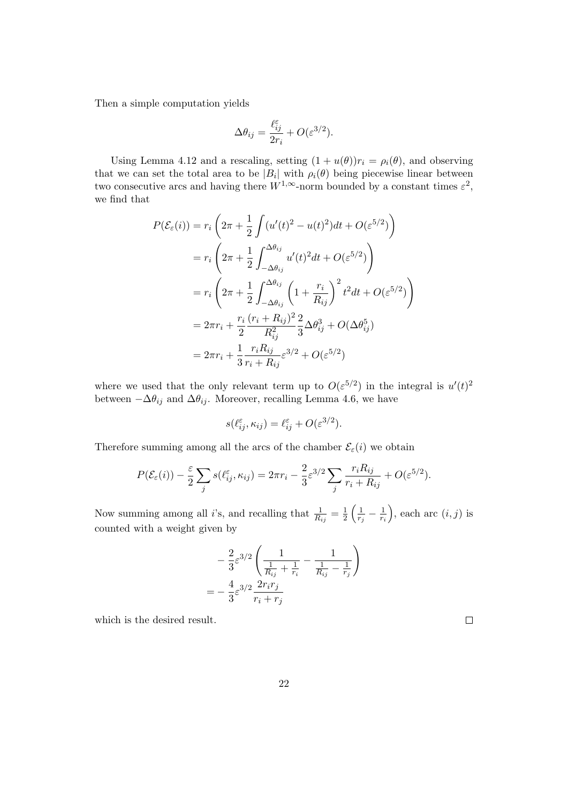Then a simple computation yields

$$
\Delta \theta_{ij} = \frac{\ell_{ij}^\varepsilon}{2r_i} + O(\varepsilon^{3/2}).
$$

Using Lemma [4.12](#page-19-1) and a rescaling, setting  $(1 + u(\theta))r_i = \rho_i(\theta)$ , and observing that we can set the total area to be  $|B_i|$  with  $\rho_i(\theta)$  being piecewise linear between two consecutive arcs and having there  $W^{1,\infty}$ -norm bounded by a constant times  $\varepsilon^2$ , we find that

$$
P(\mathcal{E}_{\varepsilon}(i)) = r_i \left( 2\pi + \frac{1}{2} \int (u'(t)^2 - u(t)^2) dt + O(\varepsilon^{5/2}) \right)
$$
  
=  $r_i \left( 2\pi + \frac{1}{2} \int_{-\Delta\theta_{ij}}^{\Delta\theta_{ij}} u'(t)^2 dt + O(\varepsilon^{5/2}) \right)$   
=  $r_i \left( 2\pi + \frac{1}{2} \int_{-\Delta\theta_{ij}}^{\Delta\theta_{ij}} \left( 1 + \frac{r_i}{R_{ij}} \right)^2 t^2 dt + O(\varepsilon^{5/2}) \right)$   
=  $2\pi r_i + \frac{r_i}{2} \frac{(r_i + R_{ij})^2}{R_{ij}^2} \frac{2}{3} \Delta\theta_{ij}^3 + O(\Delta\theta_{ij}^5)$   
=  $2\pi r_i + \frac{1}{3} \frac{r_i R_{ij}}{r_i + R_{ij}} \varepsilon^{3/2} + O(\varepsilon^{5/2})$ 

where we used that the only relevant term up to  $O(\varepsilon^{5/2})$  in the integral is  $u'(t)^2$ between  $-\Delta\theta_{ij}$  and  $\Delta\theta_{ij}$ . Moreover, recalling Lemma [4.6,](#page-13-2) we have

$$
s(\ell_{ij}^{\varepsilon}, \kappa_{ij}) = \ell_{ij}^{\varepsilon} + O(\varepsilon^{3/2}).
$$

Therefore summing among all the arcs of the chamber  $\mathcal{E}_\varepsilon(i)$  we obtain

$$
P(\mathcal{E}_{\varepsilon}(i)) - \frac{\varepsilon}{2} \sum_{j} s(\ell_{ij}^{\varepsilon}, \kappa_{ij}) = 2\pi r_i - \frac{2}{3} \varepsilon^{3/2} \sum_{j} \frac{r_i R_{ij}}{r_i + R_{ij}} + O(\varepsilon^{5/2}).
$$

Now summing among all *i*'s, and recalling that  $\frac{1}{R_{ij}} = \frac{1}{2}$  $rac{1}{2}$   $\left(\frac{1}{r}\right)$  $\frac{1}{r_j}-\frac{1}{r_i}$ ri ), each arc  $(i, j)$  is counted with a weight given by

$$
-\frac{2}{3}\varepsilon^{3/2}\left(\frac{1}{\frac{1}{R_{ij}} + \frac{1}{r_i}} - \frac{1}{\frac{1}{R_{ij}} - \frac{1}{r_j}}\right)
$$

$$
= -\frac{4}{3}\varepsilon^{3/2}\frac{2r_ir_j}{r_i + r_j}
$$

which is the desired result.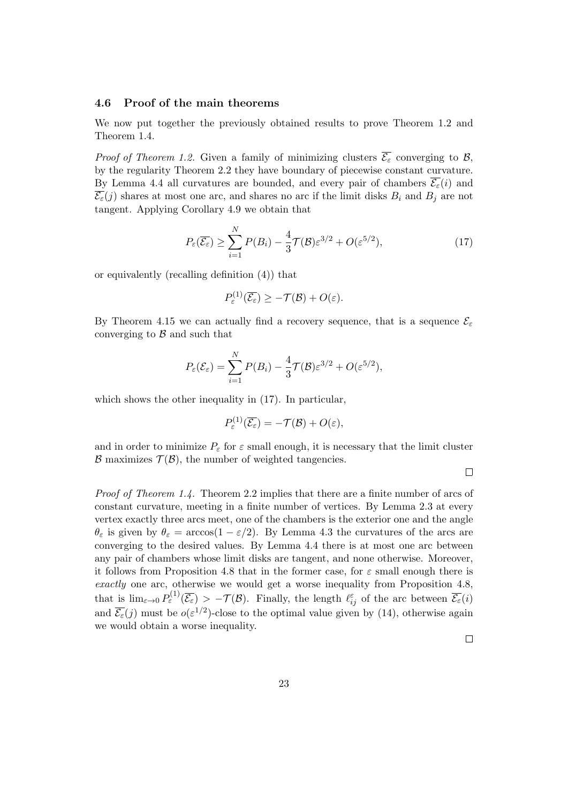### <span id="page-22-0"></span>4.6 Proof of the main theorems

We now put together the previously obtained results to prove Theorem [1.2](#page-2-0) and Theorem [1.4.](#page-3-0)

*Proof of Theorem [1.2.](#page-2-0)* Given a family of minimizing clusters  $\overline{\mathcal{E}_{\varepsilon}}$  converging to B, by the regularity Theorem [2.2](#page-5-0) they have boundary of piecewise constant curvature. By Lemma [4.4](#page-12-0) all curvatures are bounded, and every pair of chambers  $\overline{\mathcal{E}_{\varepsilon}}(i)$  and  $\overline{\mathcal{E}_{\varepsilon}}(j)$  shares at most one arc, and shares no arc if the limit disks  $B_i$  and  $B_j$  are not tangent. Applying Corollary [4.9](#page-17-0) we obtain that

<span id="page-22-1"></span>
$$
P_{\varepsilon}(\overline{\mathcal{E}_{\varepsilon}}) \ge \sum_{i=1}^{N} P(B_i) - \frac{4}{3} \mathcal{T}(\mathcal{B}) \varepsilon^{3/2} + O(\varepsilon^{5/2}), \tag{17}
$$

or equivalently (recalling definition [\(4\)](#page-2-1)) that

$$
P_{\varepsilon}^{(1)}(\overline{\mathcal{E}_{\varepsilon}}) \geq -\mathcal{T}(\mathcal{B}) + O(\varepsilon).
$$

By Theorem [4.15](#page-20-0) we can actually find a recovery sequence, that is a sequence  $\mathcal{E}_{\varepsilon}$ converging to  $\beta$  and such that

$$
P_{\varepsilon}(\mathcal{E}_{\varepsilon}) = \sum_{i=1}^{N} P(B_i) - \frac{4}{3} \mathcal{T}(\mathcal{B}) \varepsilon^{3/2} + O(\varepsilon^{5/2}),
$$

which shows the other inequality in  $(17)$ . In particular,

$$
P_{\varepsilon}^{(1)}(\overline{\mathcal{E}_{\varepsilon}})=-\mathcal{T}(\mathcal{B})+O(\varepsilon),
$$

and in order to minimize  $P_{\varepsilon}$  for  $\varepsilon$  small enough, it is necessary that the limit cluster  $\mathcal B$  maximizes  $\mathcal T(\mathcal B)$ , the number of weighted tangencies.

 $\Box$ 

Proof of Theorem [1.4.](#page-3-0) Theorem [2.2](#page-5-0) implies that there are a finite number of arcs of constant curvature, meeting in a finite number of vertices. By Lemma [2.3](#page-6-1) at every vertex exactly three arcs meet, one of the chambers is the exterior one and the angle  $\theta_{\varepsilon}$  is given by  $\theta_{\varepsilon} = \arccos(1 - \varepsilon/2)$ . By Lemma [4.3](#page-11-2) the curvatures of the arcs are converging to the desired values. By Lemma [4.4](#page-12-0) there is at most one arc between any pair of chambers whose limit disks are tangent, and none otherwise. Moreover, it follows from Proposition [4.8](#page-15-0) that in the former case, for  $\varepsilon$  small enough there is exactly one arc, otherwise we would get a worse inequality from Proposition [4.8,](#page-15-0) that is  $\lim_{\varepsilon \to 0} P_{\varepsilon}^{(1)}(\overline{\mathcal{E}_{\varepsilon}}) > -\mathcal{T}(\mathcal{B})$ . Finally, the length  $\ell_{ij}^{\varepsilon}$  of the arc between  $\overline{\mathcal{E}_{\varepsilon}}(i)$ and  $\overline{\mathcal{E}_{\varepsilon}}(j)$  must be  $o(\varepsilon^{1/2})$ -close to the optimal value given by [\(14\)](#page-17-1), otherwise again we would obtain a worse inequality.

 $\Box$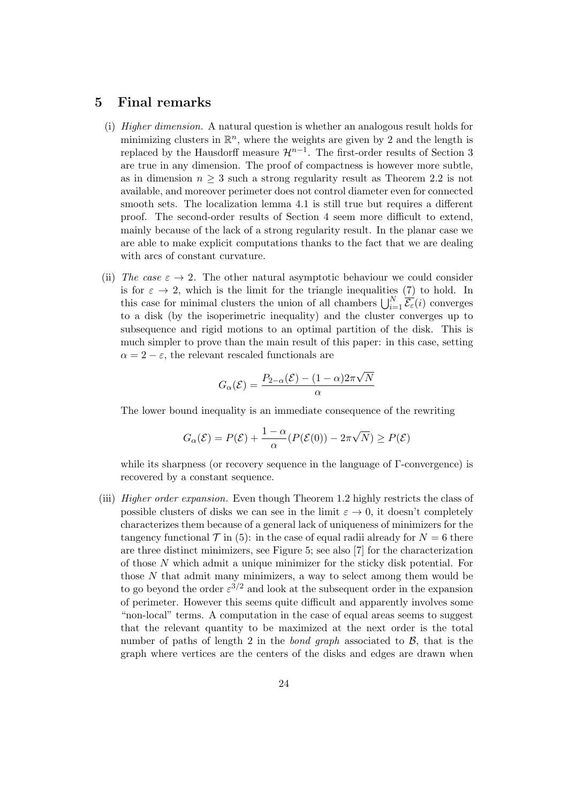## <span id="page-23-0"></span>5 Final remarks

- (i) Higher dimension. A natural question is whether an analogous result holds for minimizing clusters in  $\mathbb{R}^n$ , where the weights are given by [2](#page-1-1) and the length is replaced by the Hausdorff measure  $\mathcal{H}^{n-1}$ . The first-order results of Section [3](#page-8-0) are true in any dimension. The proof of compactness is however more subtle, as in dimension  $n \geq 3$  such a strong regularity result as Theorem [2.2](#page-5-0) is not available, and moreover perimeter does not control diameter even for connected smooth sets. The localization lemma [4.1](#page-9-2) is still true but requires a different proof. The second-order results of Section [4](#page-9-0) seem more difficult to extend, mainly because of the lack of a strong regularity result. In the planar case we are able to make explicit computations thanks to the fact that we are dealing with arcs of constant curvature.
- (ii) The case  $\varepsilon \to 2$ . The other natural asymptotic behaviour we could consider is for  $\varepsilon \to 2$ , which is the limit for the triangle inequalities [\(7\)](#page-4-2) to hold. In this case for minimal clusters the union of all chambers  $\bigcup_{i=1}^{N} \overline{\mathcal{E}_{\varepsilon}}(i)$  converges to a disk (by the isoperimetric inequality) and the cluster converges up to subsequence and rigid motions to an optimal partition of the disk. This is much simpler to prove than the main result of this paper: in this case, setting  $\alpha = 2 - \varepsilon$ , the relevant rescaled functionals are

$$
G_{\alpha}(\mathcal{E}) = \frac{P_{2-\alpha}(\mathcal{E}) - (1-\alpha)2\pi\sqrt{N}}{\alpha}
$$

The lower bound inequality is an immediate consequence of the rewriting

$$
G_{\alpha}(\mathcal{E}) = P(\mathcal{E}) + \frac{1-\alpha}{\alpha} (P(\mathcal{E}(0)) - 2\pi\sqrt{N}) \ge P(\mathcal{E})
$$

while its sharpness (or recovery sequence in the language of Γ-convergence) is recovered by a constant sequence.

<span id="page-23-1"></span>(iii) Higher order expansion. Even though Theorem [1.2](#page-2-0) highly restricts the class of possible clusters of disks we can see in the limit  $\varepsilon \to 0$ , it doesn't completely characterizes them because of a general lack of uniqueness of minimizers for the tangency functional  $\mathcal T$  in [\(5\)](#page-2-2): in the case of equal radii already for  $N=6$  there are three distinct minimizers, see Figure [5;](#page-23-1) see also [\[7\]](#page-24-6) for the characterization of those  $N$  which admit a unique minimizer for the sticky disk potential. For those  $N$  that admit many minimizers, a way to select among them would be to go beyond the order  $\varepsilon^{3/2}$  and look at the subsequent order in the expansion of perimeter. However this seems quite difficult and apparently involves some "non-local" terms. A computation in the case of equal areas seems to suggest that the relevant quantity to be maximized at the next order is the total number of paths of length 2 in the *bond graph* associated to  $\beta$ , that is the graph where vertices are the centers of the disks and edges are drawn when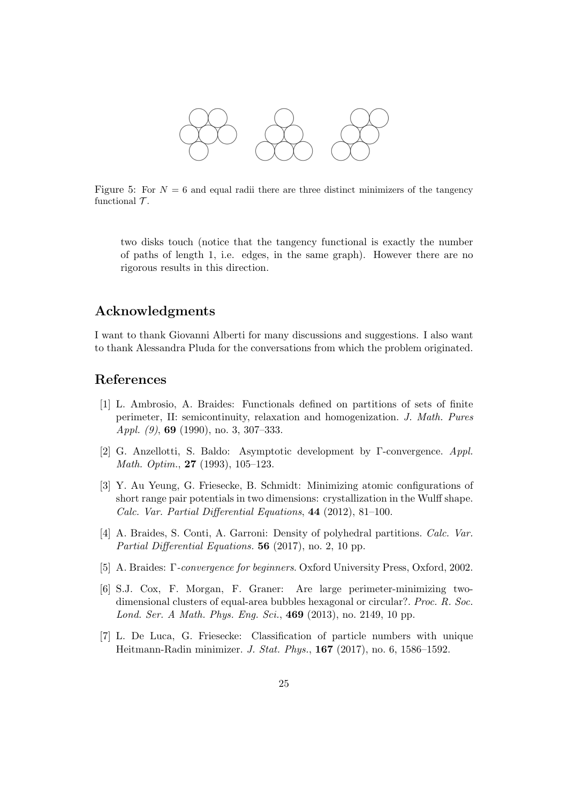

Figure 5: For  $N = 6$  and equal radii there are three distinct minimizers of the tangency functional  $\mathcal T$ .

two disks touch (notice that the tangency functional is exactly the number of paths of length 1, i.e. edges, in the same graph). However there are no rigorous results in this direction.

## Acknowledgments

I want to thank Giovanni Alberti for many discussions and suggestions. I also want to thank Alessandra Pluda for the conversations from which the problem originated.

## References

- <span id="page-24-5"></span>[1] L. Ambrosio, A. Braides: Functionals defined on partitions of sets of finite perimeter, II: semicontinuity, relaxation and homogenization. J. Math. Pures *Appl.* (9), **69** (1990), no. 3, 307-333.
- <span id="page-24-4"></span>[2] G. Anzellotti, S. Baldo: Asymptotic development by Γ-convergence. Appl. Math. Optim., 27 (1993), 105–123.
- <span id="page-24-0"></span>[3] Y. Au Yeung, G. Friesecke, B. Schmidt: Minimizing atomic configurations of short range pair potentials in two dimensions: crystallization in the Wulff shape. Calc. Var. Partial Differential Equations, 44 (2012), 81–100.
- <span id="page-24-3"></span>[4] A. Braides, S. Conti, A. Garroni: Density of polyhedral partitions. Calc. Var. Partial Differential Equations. **56** (2017), no. 2, 10 pp.
- <span id="page-24-2"></span>[5] A. Braides: Γ-convergence for beginners. Oxford University Press, Oxford, 2002.
- <span id="page-24-1"></span>[6] S.J. Cox, F. Morgan, F. Graner: Are large perimeter-minimizing twodimensional clusters of equal-area bubbles hexagonal or circular?. Proc. R. Soc. Lond. Ser. A Math. Phys. Eng. Sci., **469** (2013), no. 2149, 10 pp.
- <span id="page-24-6"></span>[7] L. De Luca, G. Friesecke: Classification of particle numbers with unique Heitmann-Radin minimizer. J. Stat. Phys., 167 (2017), no. 6, 1586–1592.